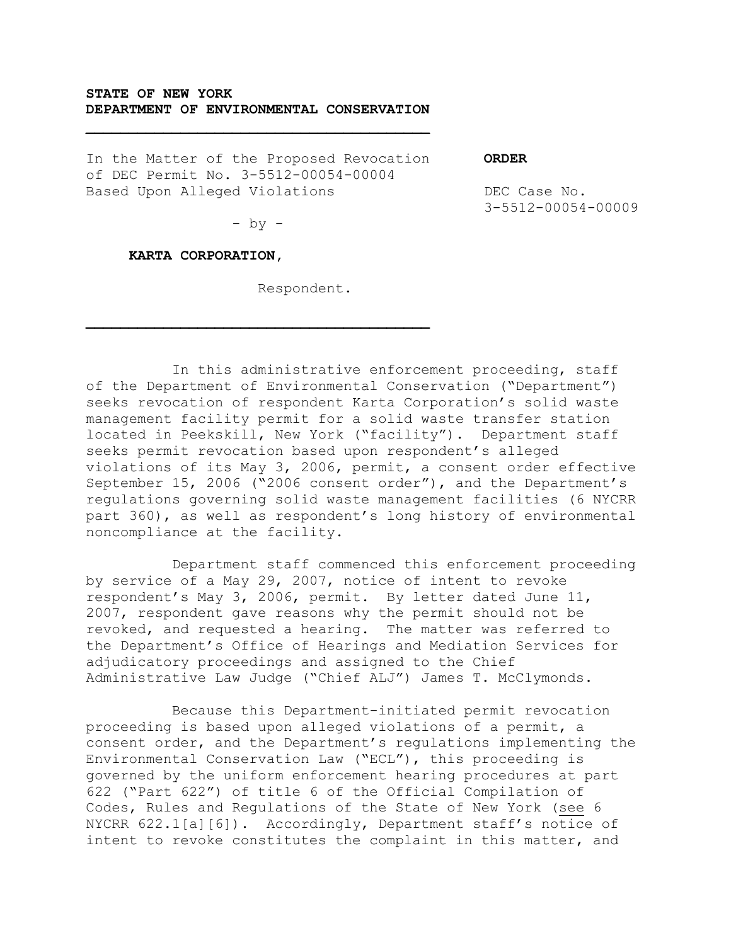## **STATE OF NEW YORK DEPARTMENT OF ENVIRONMENTAL CONSERVATION**

In the Matter of the Proposed Revocation of DEC Permit No. 3-5512-00054-00004 Based Upon Alleged Violations

**ORDER**

DEC Case No. 3-5512-00054-00009

 $-$  by  $-$ 

#### **KARTA CORPORATION,**

Respondent.

In this administrative enforcement proceeding, staff of the Department of Environmental Conservation ("Department") seeks revocation of respondent Karta Corporation's solid waste management facility permit for a solid waste transfer station located in Peekskill, New York ("facility"). Department staff seeks permit revocation based upon respondent's alleged violations of its May 3, 2006, permit, a consent order effective September 15, 2006 ("2006 consent order"), and the Department's regulations governing solid waste management facilities (6 NYCRR part 360), as well as respondent's long history of environmental noncompliance at the facility.

Department staff commenced this enforcement proceeding by service of a May 29, 2007, notice of intent to revoke respondent's May 3, 2006, permit. By letter dated June 11, 2007, respondent gave reasons why the permit should not be revoked, and requested a hearing. The matter was referred to the Department's Office of Hearings and Mediation Services for adjudicatory proceedings and assigned to the Chief Administrative Law Judge ("Chief ALJ") James T. McClymonds.

Because this Department-initiated permit revocation proceeding is based upon alleged violations of a permit, a consent order, and the Department's regulations implementing the Environmental Conservation Law ("ECL"), this proceeding is governed by the uniform enforcement hearing procedures at part 622 ("Part 622") of title 6 of the Official Compilation of Codes, Rules and Regulations of the State of New York (see 6 NYCRR 622.1[a][6]). Accordingly, Department staff's notice of intent to revoke constitutes the complaint in this matter, and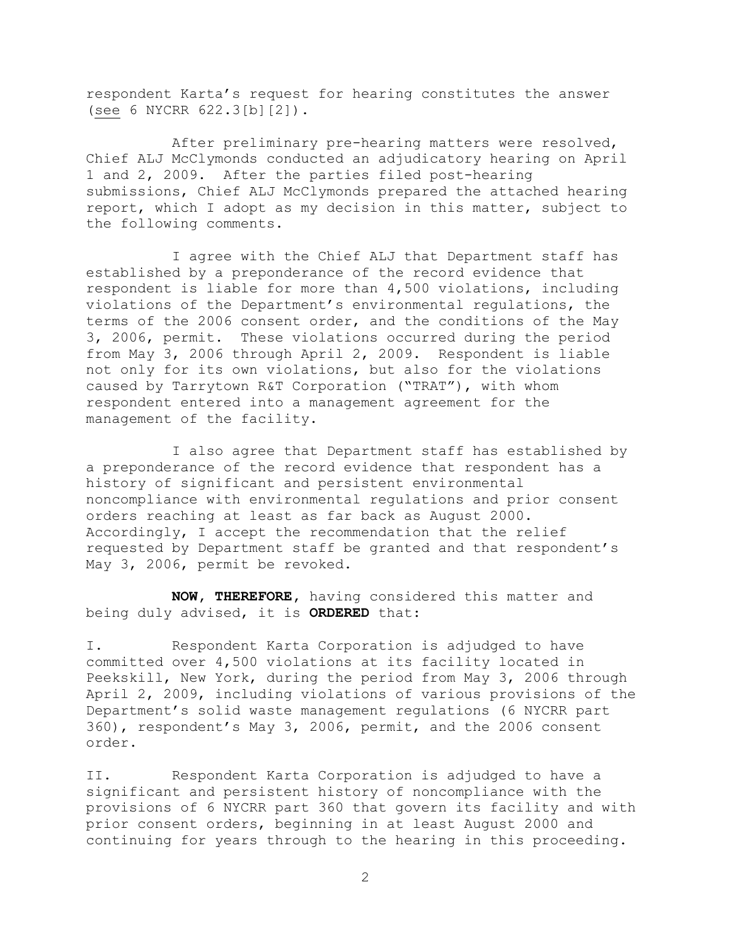respondent Karta's request for hearing constitutes the answer (see 6 NYCRR 622.3[b][2]).

After preliminary pre-hearing matters were resolved, Chief ALJ McClymonds conducted an adjudicatory hearing on April 1 and 2, 2009. After the parties filed post-hearing submissions, Chief ALJ McClymonds prepared the attached hearing report, which I adopt as my decision in this matter, subject to the following comments.

I agree with the Chief ALJ that Department staff has established by a preponderance of the record evidence that respondent is liable for more than 4,500 violations, including violations of the Department's environmental regulations, the terms of the 2006 consent order, and the conditions of the May 3, 2006, permit. These violations occurred during the period from May 3, 2006 through April 2, 2009. Respondent is liable not only for its own violations, but also for the violations caused by Tarrytown R&T Corporation ("TRAT"), with whom respondent entered into a management agreement for the management of the facility.

I also agree that Department staff has established by a preponderance of the record evidence that respondent has a history of significant and persistent environmental noncompliance with environmental regulations and prior consent orders reaching at least as far back as August 2000. Accordingly, I accept the recommendation that the relief requested by Department staff be granted and that respondent's May 3, 2006, permit be revoked.

**NOW, THEREFORE,** having considered this matter and being duly advised, it is **ORDERED** that:

I. Respondent Karta Corporation is adjudged to have committed over 4,500 violations at its facility located in Peekskill, New York, during the period from May 3, 2006 through April 2, 2009, including violations of various provisions of the Department's solid waste management regulations (6 NYCRR part 360), respondent's May 3, 2006, permit, and the 2006 consent order.

II. Respondent Karta Corporation is adjudged to have a significant and persistent history of noncompliance with the provisions of 6 NYCRR part 360 that govern its facility and with prior consent orders, beginning in at least August 2000 and continuing for years through to the hearing in this proceeding.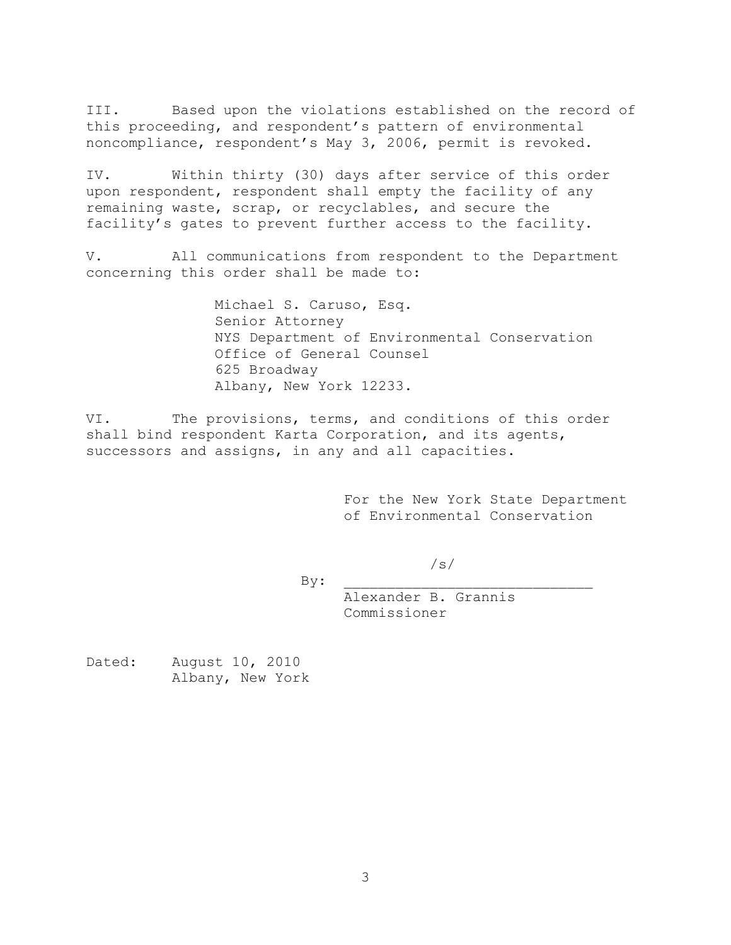III. Based upon the violations established on the record of this proceeding, and respondent's pattern of environmental noncompliance, respondent's May 3, 2006, permit is revoked.

IV. Within thirty (30) days after service of this order upon respondent, respondent shall empty the facility of any remaining waste, scrap, or recyclables, and secure the facility's gates to prevent further access to the facility.

V. All communications from respondent to the Department concerning this order shall be made to:

> Michael S. Caruso, Esq. Senior Attorney NYS Department of Environmental Conservation Office of General Counsel 625 Broadway Albany, New York 12233.

VI. The provisions, terms, and conditions of this order shall bind respondent Karta Corporation, and its agents, successors and assigns, in any and all capacities.

> For the New York State Department of Environmental Conservation

> > /s/

 $\text{By:}$ 

Alexander B. Grannis Commissioner

Dated: August 10, 2010 Albany, New York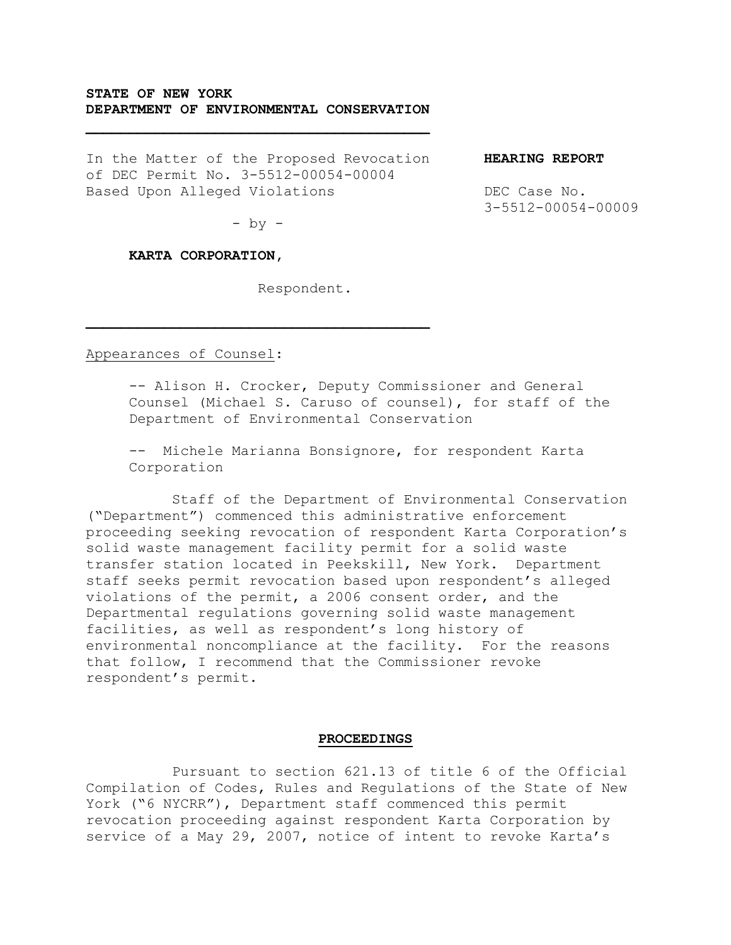## **STATE OF NEW YORK DEPARTMENT OF ENVIRONMENTAL CONSERVATION**

In the Matter of the Proposed Revocation of DEC Permit No. 3-5512-00054-00004 Based Upon Alleged Violations

#### **HEARING REPORT**

DEC Case No. 3-5512-00054-00009

 $-$  by  $-$ 

#### **KARTA CORPORATION,**

Respondent.

Appearances of Counsel:

-- Alison H. Crocker, Deputy Commissioner and General Counsel (Michael S. Caruso of counsel), for staff of the Department of Environmental Conservation

-- Michele Marianna Bonsignore, for respondent Karta Corporation

Staff of the Department of Environmental Conservation ("Department") commenced this administrative enforcement proceeding seeking revocation of respondent Karta Corporation's solid waste management facility permit for a solid waste transfer station located in Peekskill, New York. Department staff seeks permit revocation based upon respondent's alleged violations of the permit, a 2006 consent order, and the Departmental regulations governing solid waste management facilities, as well as respondent's long history of environmental noncompliance at the facility. For the reasons that follow, I recommend that the Commissioner revoke respondent's permit.

#### **PROCEEDINGS**

Pursuant to section 621.13 of title 6 of the Official Compilation of Codes, Rules and Regulations of the State of New York ("6 NYCRR"), Department staff commenced this permit revocation proceeding against respondent Karta Corporation by service of a May 29, 2007, notice of intent to revoke Karta's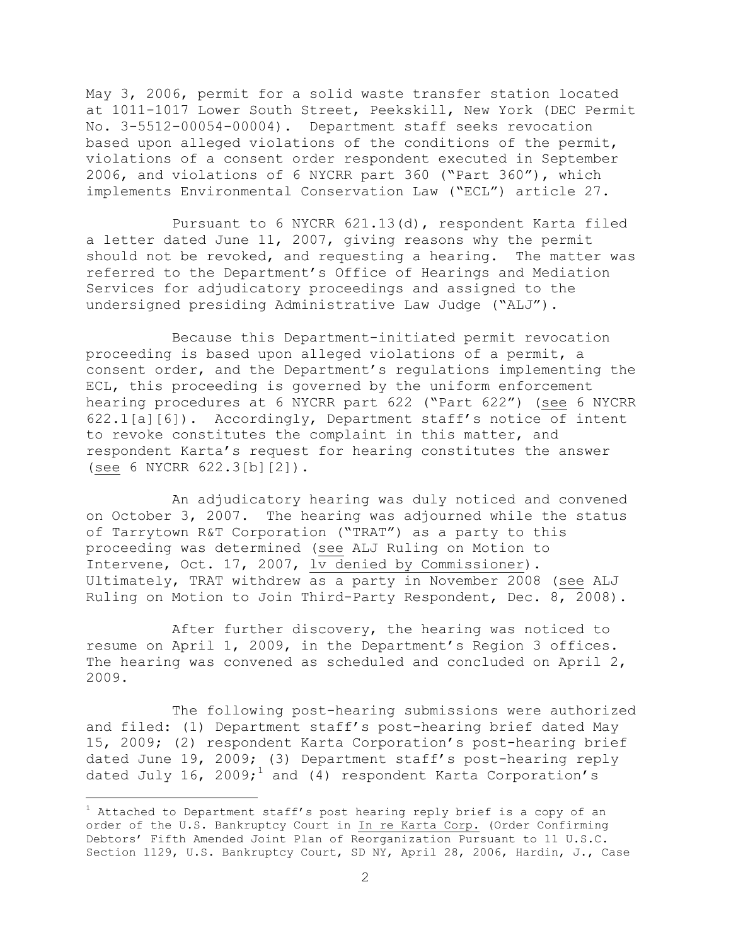May 3, 2006, permit for a solid waste transfer station located at 1011-1017 Lower South Street, Peekskill, New York (DEC Permit No. 3-5512-00054-00004). Department staff seeks revocation based upon alleged violations of the conditions of the permit, violations of a consent order respondent executed in September 2006, and violations of 6 NYCRR part 360 ("Part 360"), which implements Environmental Conservation Law ("ECL") article 27.

Pursuant to 6 NYCRR 621.13(d), respondent Karta filed a letter dated June 11, 2007, giving reasons why the permit should not be revoked, and requesting a hearing. The matter was referred to the Department's Office of Hearings and Mediation Services for adjudicatory proceedings and assigned to the undersigned presiding Administrative Law Judge ("ALJ").

Because this Department-initiated permit revocation proceeding is based upon alleged violations of a permit, a consent order, and the Department's regulations implementing the ECL, this proceeding is governed by the uniform enforcement hearing procedures at 6 NYCRR part 622 ("Part 622") (see 6 NYCRR 622.1[a][6]). Accordingly, Department staff's notice of intent to revoke constitutes the complaint in this matter, and respondent Karta's request for hearing constitutes the answer (see 6 NYCRR 622.3[b][2]).

An adjudicatory hearing was duly noticed and convened on October 3, 2007. The hearing was adjourned while the status of Tarrytown R&T Corporation ("TRAT") as a party to this proceeding was determined (see ALJ Ruling on Motion to Intervene, Oct. 17, 2007, lv denied by Commissioner). Ultimately, TRAT withdrew as a party in November 2008 (see ALJ Ruling on Motion to Join Third-Party Respondent, Dec. 8, 2008).

After further discovery, the hearing was noticed to resume on April 1, 2009, in the Department's Region 3 offices. The hearing was convened as scheduled and concluded on April 2, 2009.

The following post-hearing submissions were authorized and filed: (1) Department staff's post-hearing brief dated May 15, 2009; (2) respondent Karta Corporation's post-hearing brief dated June 19, 2009; (3) Department staff's post-hearing reply dated July 16, 2009;<sup>1</sup> and (4) respondent Karta Corporation's

i<br>L

 $1$  Attached to Department staff's post hearing reply brief is a copy of an order of the U.S. Bankruptcy Court in In re Karta Corp. (Order Confirming Debtors' Fifth Amended Joint Plan of Reorganization Pursuant to 11 U.S.C. Section 1129, U.S. Bankruptcy Court, SD NY, April 28, 2006, Hardin, J., Case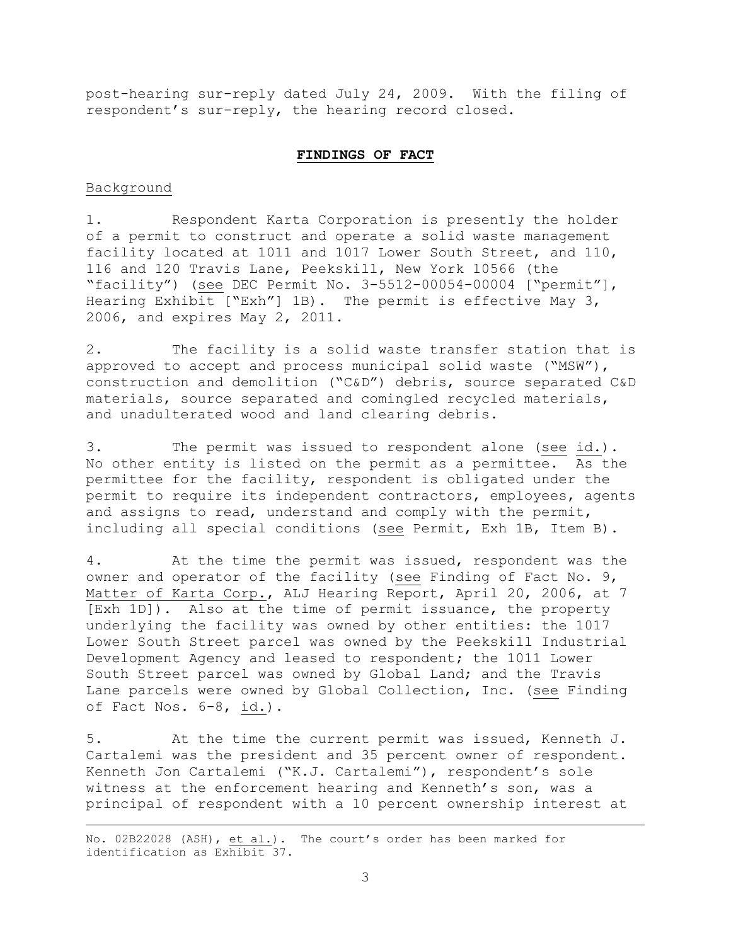post-hearing sur-reply dated July 24, 2009. With the filing of respondent's sur-reply, the hearing record closed.

#### **FINDINGS OF FACT**

#### Background

i<br>L

1. Respondent Karta Corporation is presently the holder of a permit to construct and operate a solid waste management facility located at 1011 and 1017 Lower South Street, and 110, 116 and 120 Travis Lane, Peekskill, New York 10566 (the "facility") (see DEC Permit No. 3-5512-00054-00004 ["permit"], Hearing Exhibit ["Exh"] 1B). The permit is effective May 3, 2006, and expires May 2, 2011.

2. The facility is a solid waste transfer station that is approved to accept and process municipal solid waste ("MSW"), construction and demolition ("C&D") debris, source separated C&D materials, source separated and comingled recycled materials, and unadulterated wood and land clearing debris.

3. The permit was issued to respondent alone (see id.). No other entity is listed on the permit as a permittee. As the permittee for the facility, respondent is obligated under the permit to require its independent contractors, employees, agents and assigns to read, understand and comply with the permit, including all special conditions (see Permit, Exh 1B, Item B).

4. At the time the permit was issued, respondent was the owner and operator of the facility (see Finding of Fact No. 9, Matter of Karta Corp., ALJ Hearing Report, April 20, 2006, at 7 [Exh 1D]). Also at the time of permit issuance, the property underlying the facility was owned by other entities: the 1017 Lower South Street parcel was owned by the Peekskill Industrial Development Agency and leased to respondent; the 1011 Lower South Street parcel was owned by Global Land; and the Travis Lane parcels were owned by Global Collection, Inc. (see Finding of Fact Nos. 6-8, id.).

5. At the time the current permit was issued, Kenneth J. Cartalemi was the president and 35 percent owner of respondent. Kenneth Jon Cartalemi ("K.J. Cartalemi"), respondent's sole witness at the enforcement hearing and Kenneth's son, was a principal of respondent with a 10 percent ownership interest at

No. 02B22028 (ASH), et al.). The court's order has been marked for identification as Exhibit 37.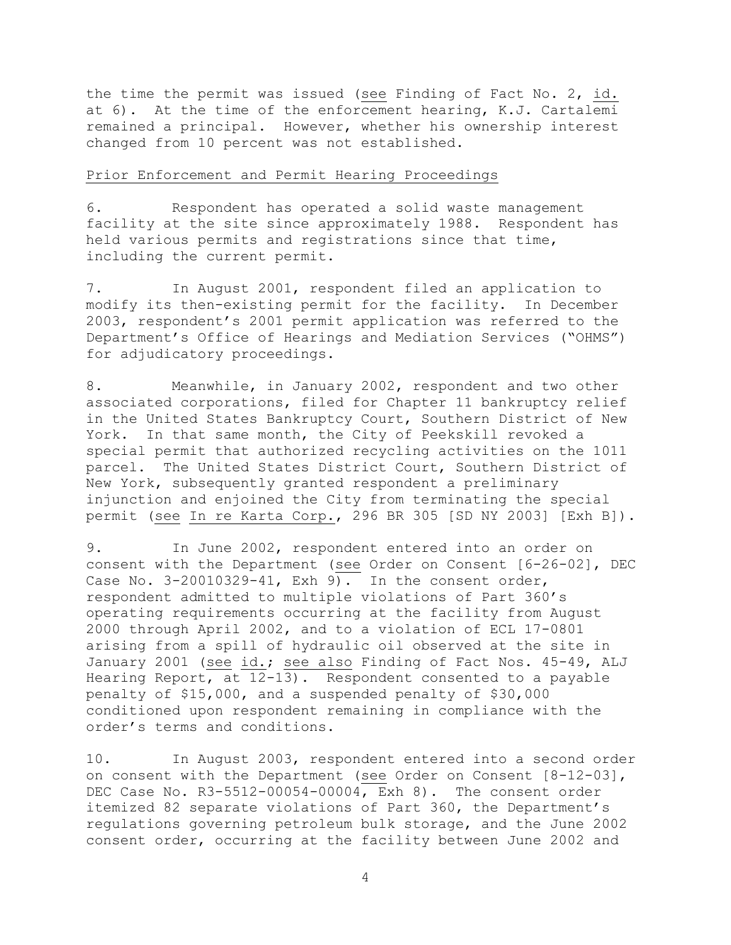the time the permit was issued (see Finding of Fact No. 2, id. at 6). At the time of the enforcement hearing, K.J. Cartalemi remained a principal. However, whether his ownership interest changed from 10 percent was not established.

### Prior Enforcement and Permit Hearing Proceedings

6. Respondent has operated a solid waste management facility at the site since approximately 1988. Respondent has held various permits and registrations since that time, including the current permit.

7. In August 2001, respondent filed an application to modify its then-existing permit for the facility. In December 2003, respondent's 2001 permit application was referred to the Department's Office of Hearings and Mediation Services ("OHMS") for adjudicatory proceedings.

8. Meanwhile, in January 2002, respondent and two other associated corporations, filed for Chapter 11 bankruptcy relief in the United States Bankruptcy Court, Southern District of New York. In that same month, the City of Peekskill revoked a special permit that authorized recycling activities on the 1011 parcel. The United States District Court, Southern District of New York, subsequently granted respondent a preliminary injunction and enjoined the City from terminating the special permit (see In re Karta Corp., 296 BR 305 [SD NY 2003] [Exh B]).

9. In June 2002, respondent entered into an order on consent with the Department (see Order on Consent [6-26-02], DEC Case No. 3-20010329-41, Exh 9). In the consent order, respondent admitted to multiple violations of Part 360's operating requirements occurring at the facility from August 2000 through April 2002, and to a violation of ECL 17-0801 arising from a spill of hydraulic oil observed at the site in January 2001 (see id.; see also Finding of Fact Nos. 45-49, ALJ Hearing Report, at 12-13). Respondent consented to a payable penalty of \$15,000, and a suspended penalty of \$30,000 conditioned upon respondent remaining in compliance with the order's terms and conditions.

10. In August 2003, respondent entered into a second order on consent with the Department (see Order on Consent [8-12-03], DEC Case No. R3-5512-00054-00004, Exh 8). The consent order itemized 82 separate violations of Part 360, the Department's regulations governing petroleum bulk storage, and the June 2002 consent order, occurring at the facility between June 2002 and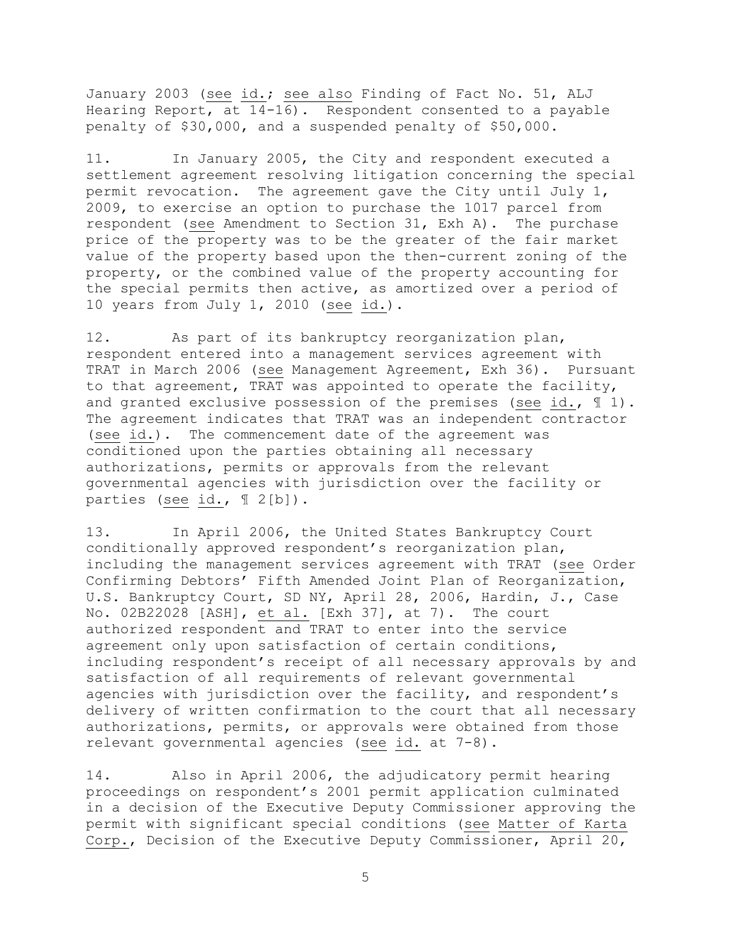January 2003 (see id.; see also Finding of Fact No. 51, ALJ Hearing Report, at 14-16). Respondent consented to a payable penalty of \$30,000, and a suspended penalty of \$50,000.

11. In January 2005, the City and respondent executed a settlement agreement resolving litigation concerning the special permit revocation. The agreement gave the City until July 1, 2009, to exercise an option to purchase the 1017 parcel from respondent (see Amendment to Section 31, Exh A). The purchase price of the property was to be the greater of the fair market value of the property based upon the then-current zoning of the property, or the combined value of the property accounting for the special permits then active, as amortized over a period of 10 years from July 1, 2010 (see id.).

12. As part of its bankruptcy reorganization plan, respondent entered into a management services agreement with TRAT in March 2006 (see Management Agreement, Exh 36). Pursuant to that agreement, TRAT was appointed to operate the facility, and granted exclusive possession of the premises (see id.,  $\text{I}$  1). The agreement indicates that TRAT was an independent contractor (see id.). The commencement date of the agreement was conditioned upon the parties obtaining all necessary authorizations, permits or approvals from the relevant governmental agencies with jurisdiction over the facility or parties (see id., 1 2[b]).

13. In April 2006, the United States Bankruptcy Court conditionally approved respondent's reorganization plan, including the management services agreement with TRAT (see Order Confirming Debtors' Fifth Amended Joint Plan of Reorganization, U.S. Bankruptcy Court, SD NY, April 28, 2006, Hardin, J., Case No. 02B22028 [ASH], et al. [Exh 37], at 7). The court authorized respondent and TRAT to enter into the service agreement only upon satisfaction of certain conditions, including respondent's receipt of all necessary approvals by and satisfaction of all requirements of relevant governmental agencies with jurisdiction over the facility, and respondent's delivery of written confirmation to the court that all necessary authorizations, permits, or approvals were obtained from those relevant governmental agencies (see id. at 7-8).

14. Also in April 2006, the adjudicatory permit hearing proceedings on respondent's 2001 permit application culminated in a decision of the Executive Deputy Commissioner approving the permit with significant special conditions (see Matter of Karta Corp., Decision of the Executive Deputy Commissioner, April 20,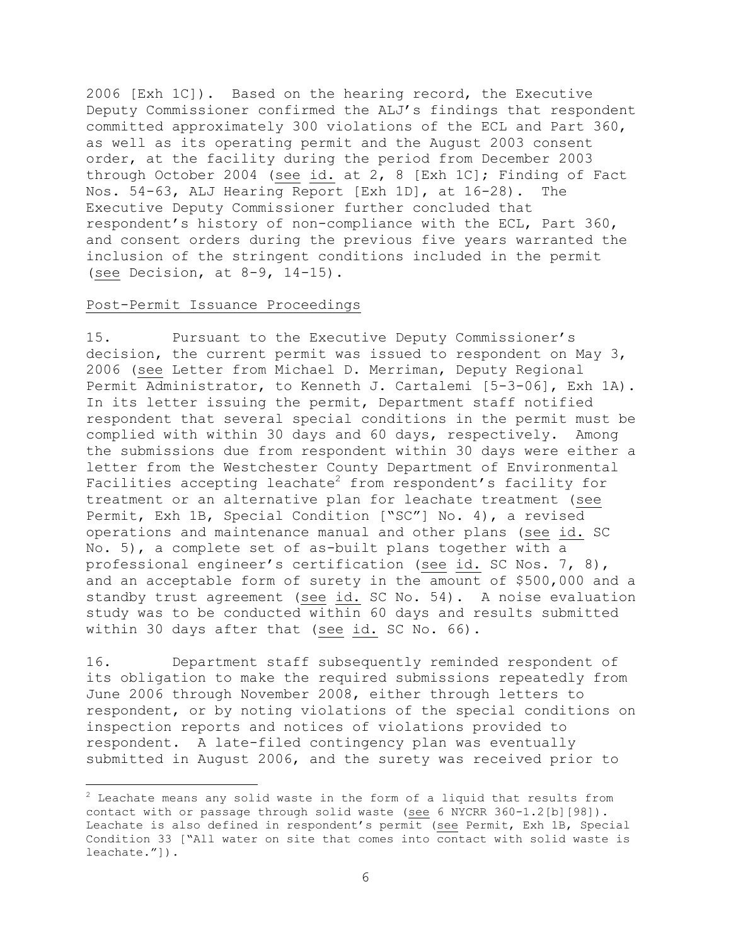2006 [Exh 1C]). Based on the hearing record, the Executive Deputy Commissioner confirmed the ALJ's findings that respondent committed approximately 300 violations of the ECL and Part 360, as well as its operating permit and the August 2003 consent order, at the facility during the period from December 2003 through October 2004 (see id. at 2, 8 [Exh 1C]; Finding of Fact Nos. 54-63, ALJ Hearing Report [Exh 1D], at 16-28). The Executive Deputy Commissioner further concluded that respondent's history of non-compliance with the ECL, Part 360, and consent orders during the previous five years warranted the inclusion of the stringent conditions included in the permit (see Decision, at 8-9, 14-15).

#### Post-Permit Issuance Proceedings

i<br>L

15. Pursuant to the Executive Deputy Commissioner's decision, the current permit was issued to respondent on May 3, 2006 (see Letter from Michael D. Merriman, Deputy Regional Permit Administrator, to Kenneth J. Cartalemi [5-3-06], Exh 1A). In its letter issuing the permit, Department staff notified respondent that several special conditions in the permit must be complied with within 30 days and 60 days, respectively. Among the submissions due from respondent within 30 days were either a letter from the Westchester County Department of Environmental Facilities accepting leachate<sup>2</sup> from respondent's facility for treatment or an alternative plan for leachate treatment (see Permit, Exh 1B, Special Condition ["SC"] No. 4), a revised operations and maintenance manual and other plans (see id. SC No. 5), a complete set of as-built plans together with a professional engineer's certification (see id. SC Nos. 7, 8), and an acceptable form of surety in the amount of \$500,000 and a standby trust agreement (see id. SC No. 54). A noise evaluation study was to be conducted within 60 days and results submitted within 30 days after that (see id. SC No. 66).

16. Department staff subsequently reminded respondent of its obligation to make the required submissions repeatedly from June 2006 through November 2008, either through letters to respondent, or by noting violations of the special conditions on inspection reports and notices of violations provided to respondent. A late-filed contingency plan was eventually submitted in August 2006, and the surety was received prior to

 $2$  Leachate means any solid waste in the form of a liquid that results from contact with or passage through solid waste (see 6 NYCRR 360-1.2[b][98]). Leachate is also defined in respondent's permit (see Permit, Exh 1B, Special Condition 33 ["All water on site that comes into contact with solid waste is leachate."]).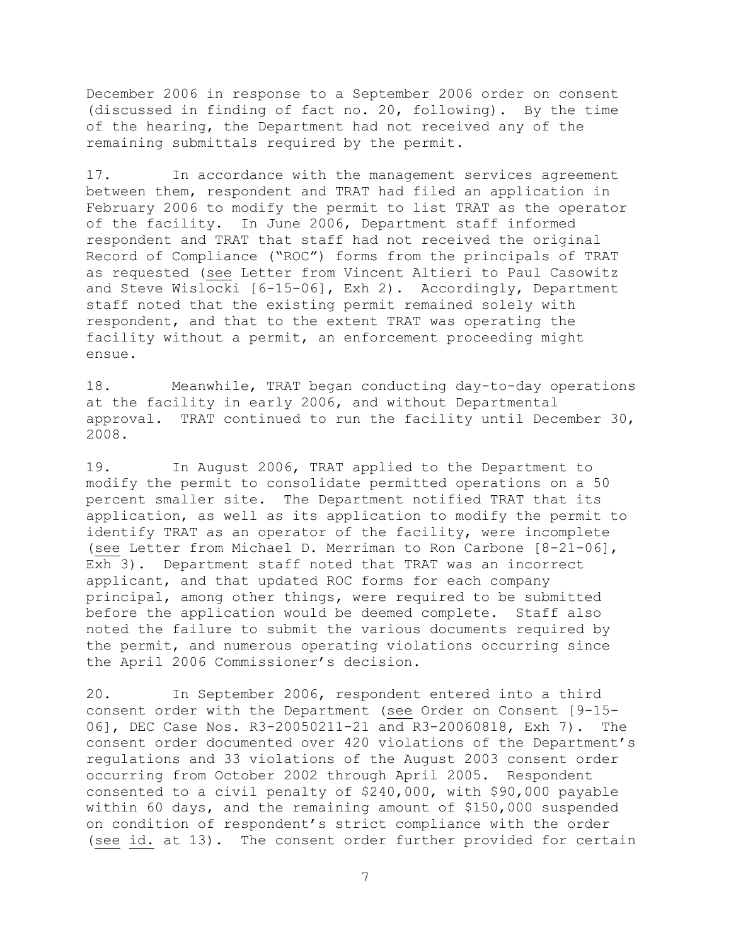December 2006 in response to a September 2006 order on consent (discussed in finding of fact no. 20, following). By the time of the hearing, the Department had not received any of the remaining submittals required by the permit.

17. In accordance with the management services agreement between them, respondent and TRAT had filed an application in February 2006 to modify the permit to list TRAT as the operator of the facility. In June 2006, Department staff informed respondent and TRAT that staff had not received the original Record of Compliance ("ROC") forms from the principals of TRAT as requested (see Letter from Vincent Altieri to Paul Casowitz and Steve Wislocki [6-15-06], Exh 2). Accordingly, Department staff noted that the existing permit remained solely with respondent, and that to the extent TRAT was operating the facility without a permit, an enforcement proceeding might ensue.

18. Meanwhile, TRAT began conducting day-to-day operations at the facility in early 2006, and without Departmental approval. TRAT continued to run the facility until December 30, 2008.

19. In August 2006, TRAT applied to the Department to modify the permit to consolidate permitted operations on a 50 percent smaller site. The Department notified TRAT that its application, as well as its application to modify the permit to identify TRAT as an operator of the facility, were incomplete (see Letter from Michael D. Merriman to Ron Carbone [8-21-06], Exh 3). Department staff noted that TRAT was an incorrect applicant, and that updated ROC forms for each company principal, among other things, were required to be submitted before the application would be deemed complete. Staff also noted the failure to submit the various documents required by the permit, and numerous operating violations occurring since the April 2006 Commissioner's decision.

20. In September 2006, respondent entered into a third consent order with the Department (see Order on Consent [9-15- 06], DEC Case Nos. R3-20050211-21 and R3-20060818, Exh 7). The consent order documented over 420 violations of the Department's regulations and 33 violations of the August 2003 consent order occurring from October 2002 through April 2005. Respondent consented to a civil penalty of \$240,000, with \$90,000 payable within 60 days, and the remaining amount of \$150,000 suspended on condition of respondent's strict compliance with the order (see id. at 13). The consent order further provided for certain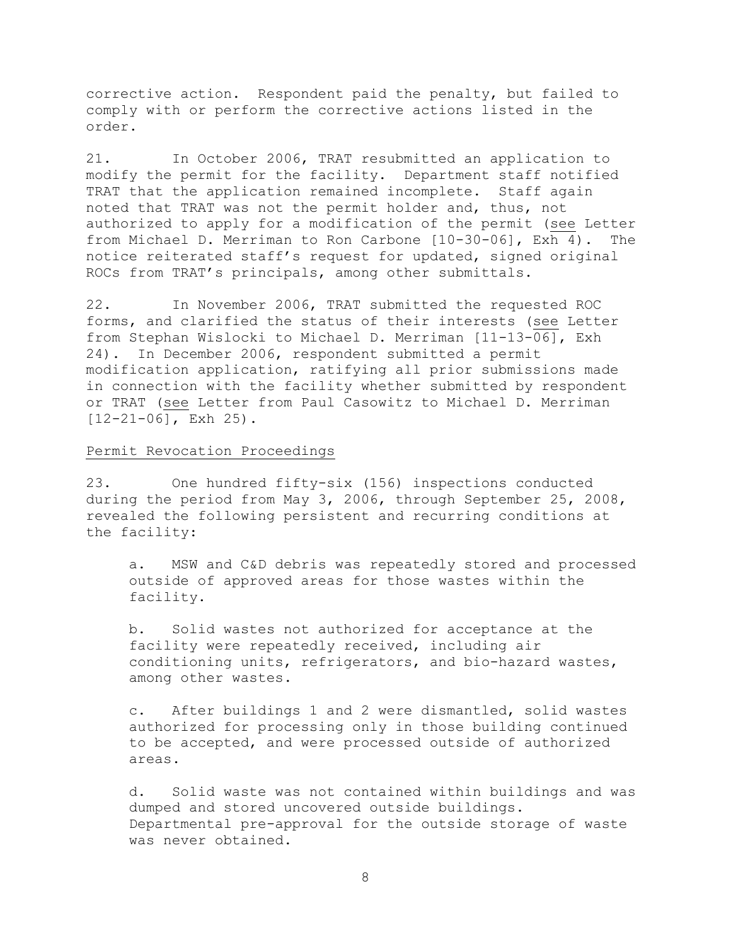corrective action. Respondent paid the penalty, but failed to comply with or perform the corrective actions listed in the order.

21. In October 2006, TRAT resubmitted an application to modify the permit for the facility. Department staff notified TRAT that the application remained incomplete. Staff again noted that TRAT was not the permit holder and, thus, not authorized to apply for a modification of the permit (see Letter from Michael D. Merriman to Ron Carbone [10-30-06], Exh 4). The notice reiterated staff's request for updated, signed original ROCs from TRAT's principals, among other submittals.

22. In November 2006, TRAT submitted the requested ROC forms, and clarified the status of their interests (see Letter from Stephan Wislocki to Michael D. Merriman [11-13-06], Exh 24). In December 2006, respondent submitted a permit modification application, ratifying all prior submissions made in connection with the facility whether submitted by respondent or TRAT (see Letter from Paul Casowitz to Michael D. Merriman  $[12-21-06]$ , Exh 25).

#### Permit Revocation Proceedings

23. One hundred fifty-six (156) inspections conducted during the period from May 3, 2006, through September 25, 2008, revealed the following persistent and recurring conditions at the facility:

a. MSW and C&D debris was repeatedly stored and processed outside of approved areas for those wastes within the facility.

b. Solid wastes not authorized for acceptance at the facility were repeatedly received, including air conditioning units, refrigerators, and bio-hazard wastes, among other wastes.

c. After buildings 1 and 2 were dismantled, solid wastes authorized for processing only in those building continued to be accepted, and were processed outside of authorized areas.

d. Solid waste was not contained within buildings and was dumped and stored uncovered outside buildings. Departmental pre-approval for the outside storage of waste was never obtained.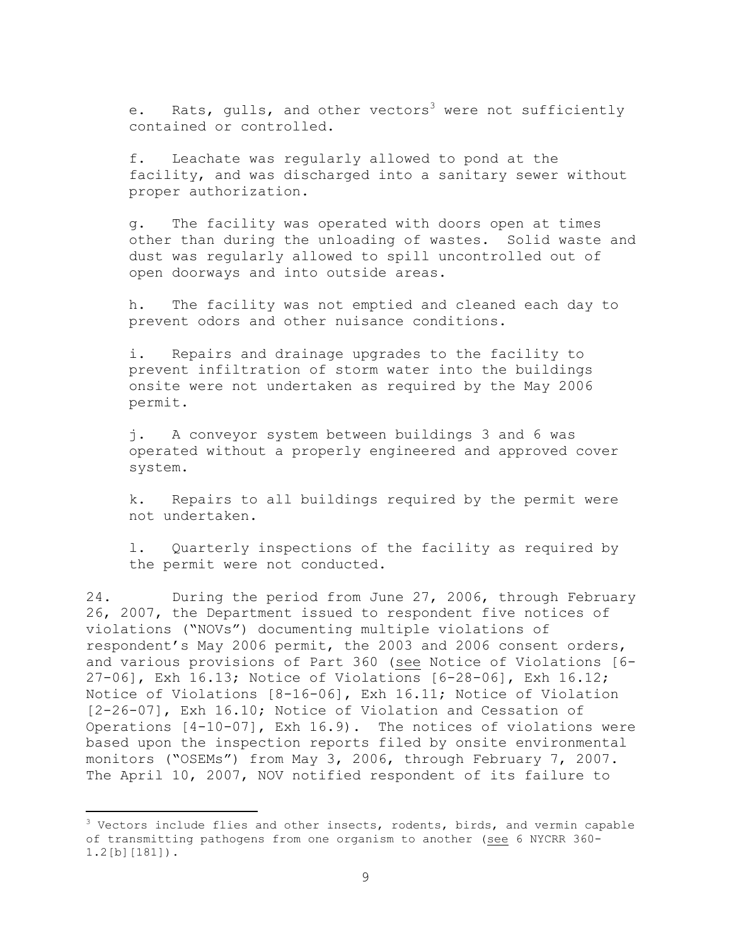e. Rats, gulls, and other vectors<sup>3</sup> were not sufficiently contained or controlled.

f. Leachate was regularly allowed to pond at the facility, and was discharged into a sanitary sewer without proper authorization.

g. The facility was operated with doors open at times other than during the unloading of wastes. Solid waste and dust was regularly allowed to spill uncontrolled out of open doorways and into outside areas.

h. The facility was not emptied and cleaned each day to prevent odors and other nuisance conditions.

i. Repairs and drainage upgrades to the facility to prevent infiltration of storm water into the buildings onsite were not undertaken as required by the May 2006 permit.

j. A conveyor system between buildings 3 and 6 was operated without a properly engineered and approved cover system.

k. Repairs to all buildings required by the permit were not undertaken.

l. Quarterly inspections of the facility as required by the permit were not conducted.

24. During the period from June 27, 2006, through February 26, 2007, the Department issued to respondent five notices of violations ("NOVs") documenting multiple violations of respondent's May 2006 permit, the 2003 and 2006 consent orders, and various provisions of Part 360 (see Notice of Violations [6- 27-06], Exh 16.13; Notice of Violations [6-28-06], Exh 16.12; Notice of Violations [8-16-06], Exh 16.11; Notice of Violation [2-26-07], Exh 16.10; Notice of Violation and Cessation of Operations [4-10-07], Exh 16.9). The notices of violations were based upon the inspection reports filed by onsite environmental monitors ("OSEMs") from May 3, 2006, through February 7, 2007. The April 10, 2007, NOV notified respondent of its failure to

L,

 $3$  Vectors include flies and other insects, rodents, birds, and vermin capable of transmitting pathogens from one organism to another (see 6 NYCRR 360- 1.2[b][181]).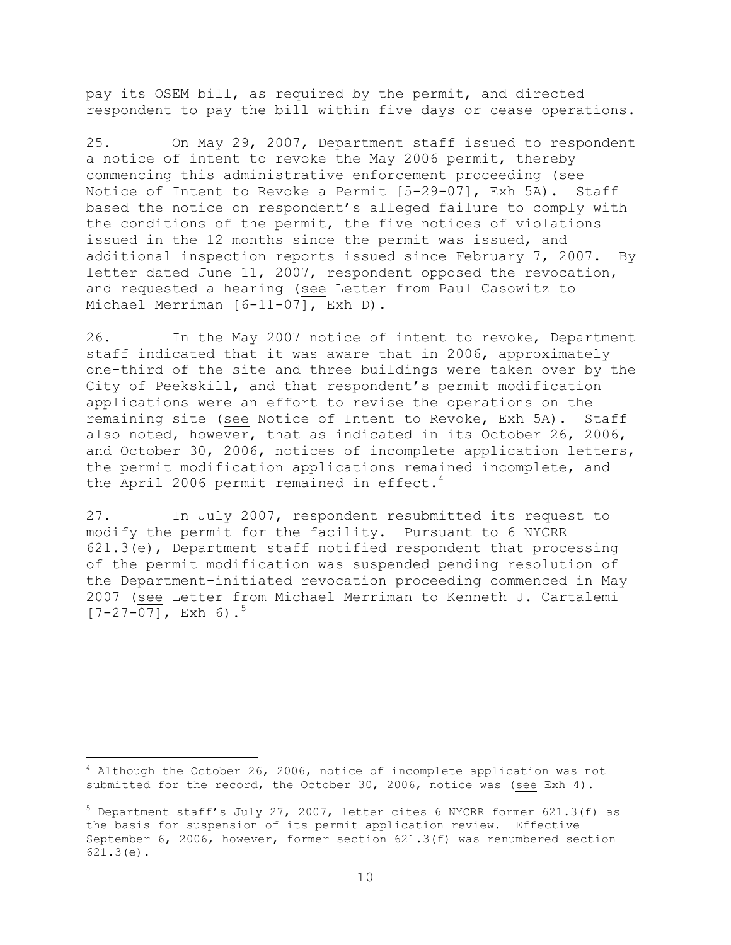pay its OSEM bill, as required by the permit, and directed respondent to pay the bill within five days or cease operations.

25. On May 29, 2007, Department staff issued to respondent a notice of intent to revoke the May 2006 permit, thereby commencing this administrative enforcement proceeding (see Notice of Intent to Revoke a Permit [5-29-07], Exh 5A). Staff based the notice on respondent's alleged failure to comply with the conditions of the permit, the five notices of violations issued in the 12 months since the permit was issued, and additional inspection reports issued since February 7, 2007. By letter dated June 11, 2007, respondent opposed the revocation, and requested a hearing (see Letter from Paul Casowitz to Michael Merriman [6-11-07], Exh D).

26. In the May 2007 notice of intent to revoke, Department staff indicated that it was aware that in 2006, approximately one-third of the site and three buildings were taken over by the City of Peekskill, and that respondent's permit modification applications were an effort to revise the operations on the remaining site (see Notice of Intent to Revoke, Exh 5A). Staff also noted, however, that as indicated in its October 26, 2006, and October 30, 2006, notices of incomplete application letters, the permit modification applications remained incomplete, and the April 2006 permit remained in effect.<sup>4</sup>

27. In July 2007, respondent resubmitted its request to modify the permit for the facility. Pursuant to 6 NYCRR 621.3(e), Department staff notified respondent that processing of the permit modification was suspended pending resolution of the Department-initiated revocation proceeding commenced in May 2007 (see Letter from Michael Merriman to Kenneth J. Cartalemi  $[7-27-07]$ , Exh 6).<sup>5</sup>

L,

 $4$  Although the October 26, 2006, notice of incomplete application was not submitted for the record, the October 30, 2006, notice was (see Exh 4).

 $5$  Department staff's July 27, 2007, letter cites 6 NYCRR former 621.3(f) as the basis for suspension of its permit application review. Effective September 6, 2006, however, former section 621.3(f) was renumbered section 621.3(e).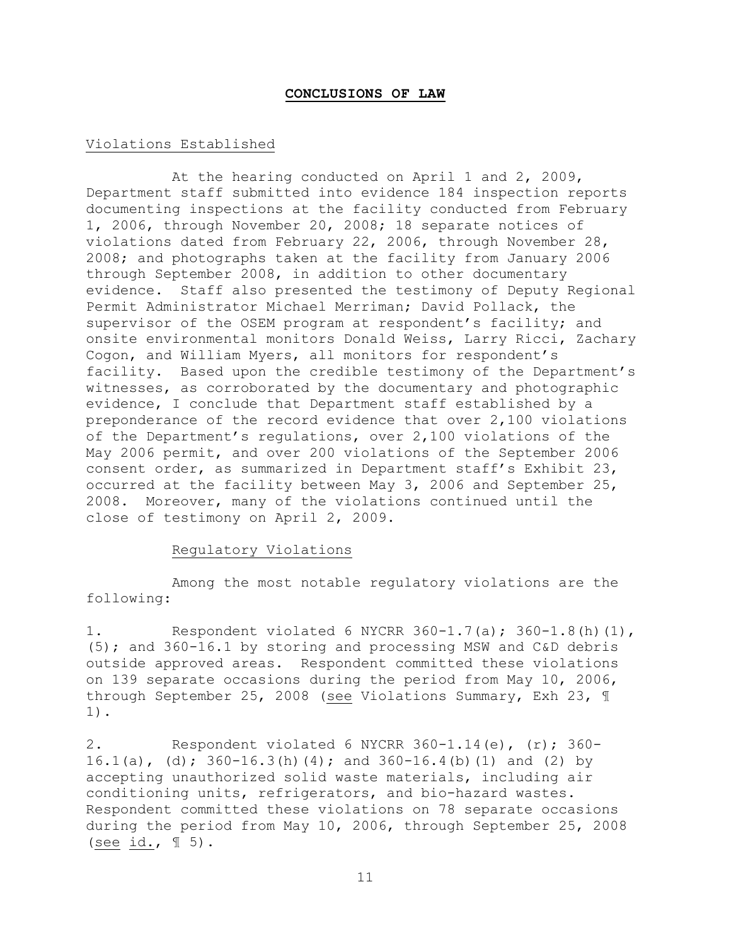#### **CONCLUSIONS OF LAW**

## Violations Established

At the hearing conducted on April 1 and 2, 2009, Department staff submitted into evidence 184 inspection reports documenting inspections at the facility conducted from February 1, 2006, through November 20, 2008; 18 separate notices of violations dated from February 22, 2006, through November 28, 2008; and photographs taken at the facility from January 2006 through September 2008, in addition to other documentary evidence. Staff also presented the testimony of Deputy Regional Permit Administrator Michael Merriman; David Pollack, the supervisor of the OSEM program at respondent's facility; and onsite environmental monitors Donald Weiss, Larry Ricci, Zachary Cogon, and William Myers, all monitors for respondent's facility. Based upon the credible testimony of the Department's witnesses, as corroborated by the documentary and photographic evidence, I conclude that Department staff established by a preponderance of the record evidence that over 2,100 violations of the Department's regulations, over 2,100 violations of the May 2006 permit, and over 200 violations of the September 2006 consent order, as summarized in Department staff's Exhibit 23, occurred at the facility between May 3, 2006 and September 25, 2008. Moreover, many of the violations continued until the close of testimony on April 2, 2009.

#### Regulatory Violations

Among the most notable regulatory violations are the following:

1. Respondent violated 6 NYCRR 360-1.7(a); 360-1.8(h)(1), (5); and 360-16.1 by storing and processing MSW and C&D debris outside approved areas. Respondent committed these violations on 139 separate occasions during the period from May 10, 2006, through September 25, 2008 (see Violations Summary, Exh 23, ¶ 1).

2. Respondent violated 6 NYCRR 360-1.14(e), (r); 360- 16.1(a), (d);  $360-16.3(h)$ (4); and  $360-16.4(b)$ (1) and (2) by accepting unauthorized solid waste materials, including air conditioning units, refrigerators, and bio-hazard wastes. Respondent committed these violations on 78 separate occasions during the period from May 10, 2006, through September 25, 2008 (see id., ¶ 5).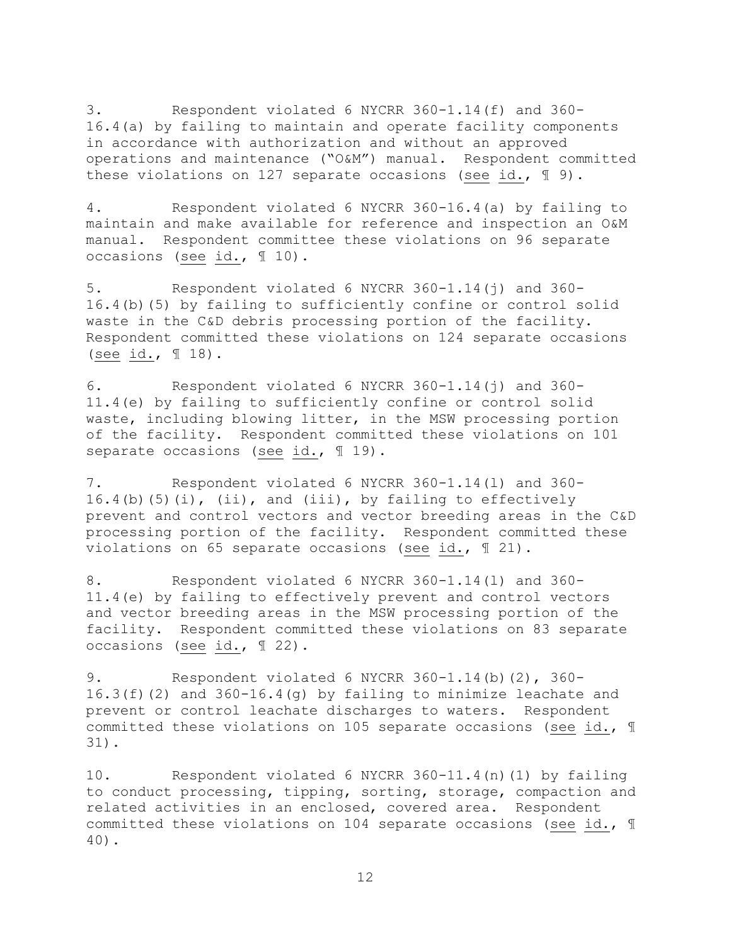3. Respondent violated 6 NYCRR 360-1.14(f) and 360- 16.4(a) by failing to maintain and operate facility components in accordance with authorization and without an approved operations and maintenance ("O&M") manual. Respondent committed these violations on 127 separate occasions (see id.,  $\mathbb{I}$  9).

4. Respondent violated 6 NYCRR 360-16.4(a) by failing to maintain and make available for reference and inspection an O&M manual. Respondent committee these violations on 96 separate occasions (see id., ¶ 10).

5. Respondent violated 6 NYCRR 360-1.14(j) and 360- 16.4(b)(5) by failing to sufficiently confine or control solid waste in the C&D debris processing portion of the facility. Respondent committed these violations on 124 separate occasions (see id., ¶ 18).

6. Respondent violated 6 NYCRR 360-1.14(j) and 360- 11.4(e) by failing to sufficiently confine or control solid waste, including blowing litter, in the MSW processing portion of the facility. Respondent committed these violations on 101 separate occasions (see id., 19).

7. Respondent violated 6 NYCRR 360-1.14(l) and 360- 16.4(b)(5)(i),  $(ii)$ , and (iii), by failing to effectively prevent and control vectors and vector breeding areas in the C&D processing portion of the facility. Respondent committed these violations on 65 separate occasions (see id., ¶ 21).

8. Respondent violated 6 NYCRR 360-1.14(l) and 360- 11.4(e) by failing to effectively prevent and control vectors and vector breeding areas in the MSW processing portion of the facility. Respondent committed these violations on 83 separate occasions (see id., ¶ 22).

9. Respondent violated 6 NYCRR 360-1.14(b)(2), 360- 16.3(f)(2) and  $360-16.4$ (g) by failing to minimize leachate and prevent or control leachate discharges to waters. Respondent committed these violations on 105 separate occasions (see id., ¶ 31).

10. Respondent violated 6 NYCRR 360-11.4(n)(1) by failing to conduct processing, tipping, sorting, storage, compaction and related activities in an enclosed, covered area. Respondent committed these violations on 104 separate occasions (see id., ¶ 40).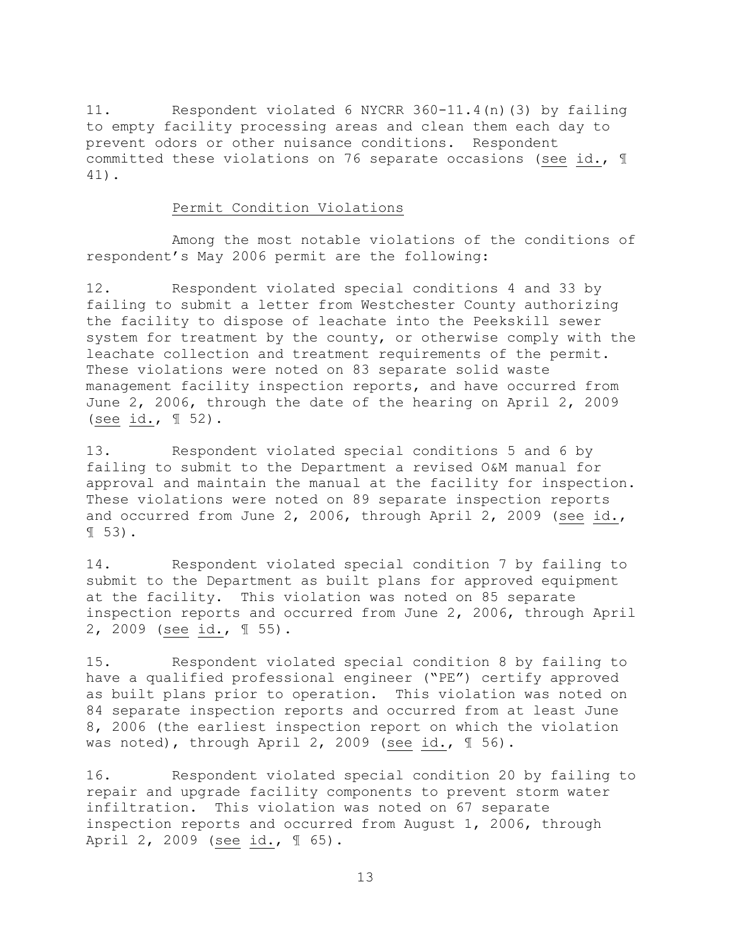11. Respondent violated 6 NYCRR 360-11.4(n)(3) by failing to empty facility processing areas and clean them each day to prevent odors or other nuisance conditions. Respondent committed these violations on 76 separate occasions (see id., ¶ 41).

#### Permit Condition Violations

Among the most notable violations of the conditions of respondent's May 2006 permit are the following:

12. Respondent violated special conditions 4 and 33 by failing to submit a letter from Westchester County authorizing the facility to dispose of leachate into the Peekskill sewer system for treatment by the county, or otherwise comply with the leachate collection and treatment requirements of the permit. These violations were noted on 83 separate solid waste management facility inspection reports, and have occurred from June 2, 2006, through the date of the hearing on April 2, 2009 (see id., ¶ 52).

13. Respondent violated special conditions 5 and 6 by failing to submit to the Department a revised O&M manual for approval and maintain the manual at the facility for inspection. These violations were noted on 89 separate inspection reports and occurred from June 2, 2006, through April 2, 2009 (see id., ¶ 53).

14. Respondent violated special condition 7 by failing to submit to the Department as built plans for approved equipment at the facility. This violation was noted on 85 separate inspection reports and occurred from June 2, 2006, through April 2, 2009 (see id., ¶ 55).

15. Respondent violated special condition 8 by failing to have a qualified professional engineer ("PE") certify approved as built plans prior to operation. This violation was noted on 84 separate inspection reports and occurred from at least June 8, 2006 (the earliest inspection report on which the violation was noted), through April 2, 2009 (see id., 1 56).

16. Respondent violated special condition 20 by failing to repair and upgrade facility components to prevent storm water infiltration. This violation was noted on 67 separate inspection reports and occurred from August 1, 2006, through April 2, 2009 (see id., ¶ 65).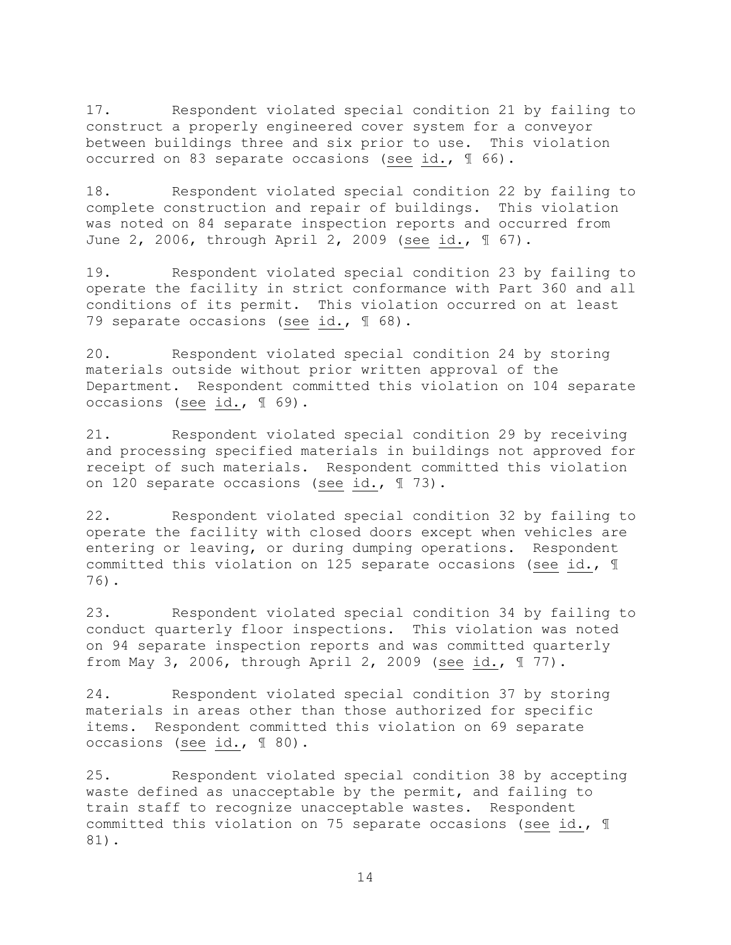17. Respondent violated special condition 21 by failing to construct a properly engineered cover system for a conveyor between buildings three and six prior to use. This violation occurred on 83 separate occasions (see id., ¶ 66).

18. Respondent violated special condition 22 by failing to complete construction and repair of buildings. This violation was noted on 84 separate inspection reports and occurred from June 2, 2006, through April 2, 2009 (see id., ¶ 67).

19. Respondent violated special condition 23 by failing to operate the facility in strict conformance with Part 360 and all conditions of its permit. This violation occurred on at least 79 separate occasions (see id., 1 68).

20. Respondent violated special condition 24 by storing materials outside without prior written approval of the Department. Respondent committed this violation on 104 separate occasions (see id., ¶ 69).

21. Respondent violated special condition 29 by receiving and processing specified materials in buildings not approved for receipt of such materials. Respondent committed this violation on 120 separate occasions (see id., ¶ 73).

22. Respondent violated special condition 32 by failing to operate the facility with closed doors except when vehicles are entering or leaving, or during dumping operations. Respondent committed this violation on 125 separate occasions (see id., ¶ 76).

23. Respondent violated special condition 34 by failing to conduct quarterly floor inspections. This violation was noted on 94 separate inspection reports and was committed quarterly from May 3, 2006, through April 2, 2009 (see id., 177).

24. Respondent violated special condition 37 by storing materials in areas other than those authorized for specific items. Respondent committed this violation on 69 separate occasions (see id., ¶ 80).

25. Respondent violated special condition 38 by accepting waste defined as unacceptable by the permit, and failing to train staff to recognize unacceptable wastes. Respondent committed this violation on 75 separate occasions (see id., ¶ 81).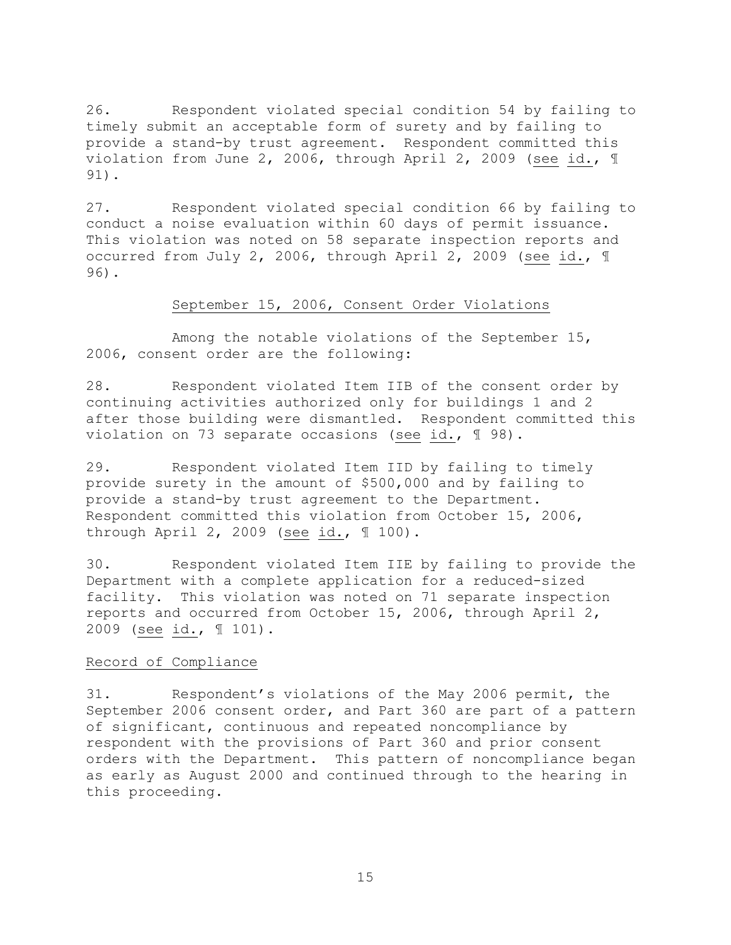26. Respondent violated special condition 54 by failing to timely submit an acceptable form of surety and by failing to provide a stand-by trust agreement. Respondent committed this violation from June 2, 2006, through April 2, 2009 (see id., ¶ 91).

27. Respondent violated special condition 66 by failing to conduct a noise evaluation within 60 days of permit issuance. This violation was noted on 58 separate inspection reports and occurred from July 2, 2006, through April 2, 2009 (see id., ¶ 96).

## September 15, 2006, Consent Order Violations

Among the notable violations of the September 15, 2006, consent order are the following:

28. Respondent violated Item IIB of the consent order by continuing activities authorized only for buildings 1 and 2 after those building were dismantled. Respondent committed this violation on 73 separate occasions (see id., ¶ 98).

29. Respondent violated Item IID by failing to timely provide surety in the amount of \$500,000 and by failing to provide a stand-by trust agreement to the Department. Respondent committed this violation from October 15, 2006, through April 2, 2009 (see id., ¶ 100).

30. Respondent violated Item IIE by failing to provide the Department with a complete application for a reduced-sized facility. This violation was noted on 71 separate inspection reports and occurred from October 15, 2006, through April 2, 2009 (see id., ¶ 101).

#### Record of Compliance

31. Respondent's violations of the May 2006 permit, the September 2006 consent order, and Part 360 are part of a pattern of significant, continuous and repeated noncompliance by respondent with the provisions of Part 360 and prior consent orders with the Department. This pattern of noncompliance began as early as August 2000 and continued through to the hearing in this proceeding.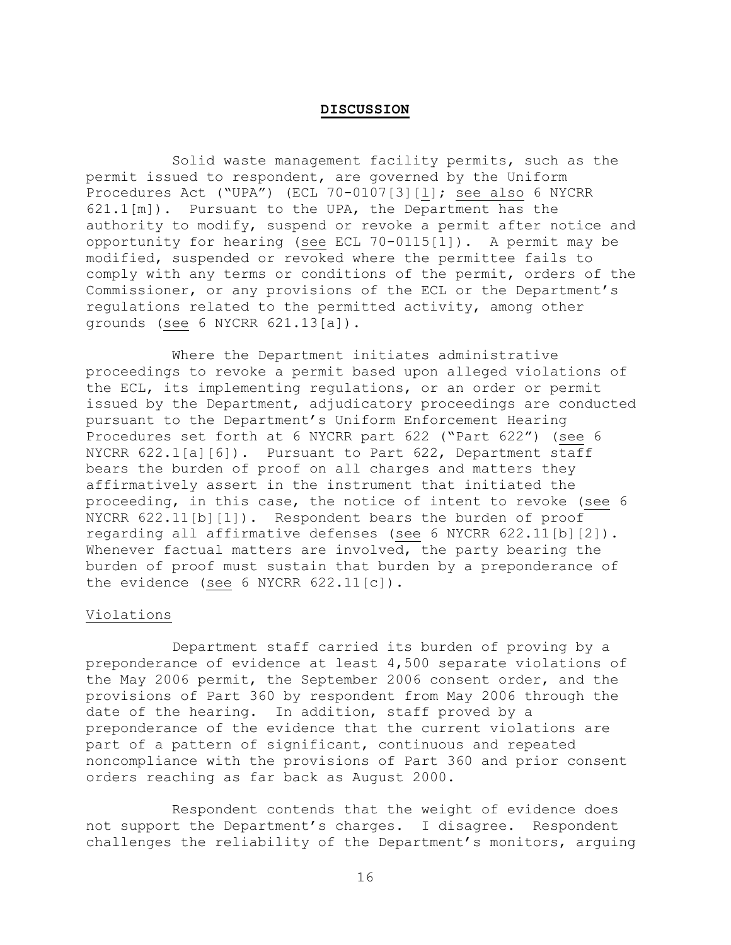#### **DISCUSSION**

Solid waste management facility permits, such as the permit issued to respondent, are governed by the Uniform Procedures Act ("UPA") (ECL 70-0107[3][l]; see also 6 NYCRR 621.1[m]). Pursuant to the UPA, the Department has the authority to modify, suspend or revoke a permit after notice and opportunity for hearing (see ECL 70-0115[1]). A permit may be modified, suspended or revoked where the permittee fails to comply with any terms or conditions of the permit, orders of the Commissioner, or any provisions of the ECL or the Department's regulations related to the permitted activity, among other grounds (see 6 NYCRR 621.13[a]).

Where the Department initiates administrative proceedings to revoke a permit based upon alleged violations of the ECL, its implementing regulations, or an order or permit issued by the Department, adjudicatory proceedings are conducted pursuant to the Department's Uniform Enforcement Hearing Procedures set forth at 6 NYCRR part 622 ("Part 622") (see 6 NYCRR 622.1[a][6]). Pursuant to Part 622, Department staff bears the burden of proof on all charges and matters they affirmatively assert in the instrument that initiated the proceeding, in this case, the notice of intent to revoke (see 6 NYCRR 622.11[b][1]). Respondent bears the burden of proof regarding all affirmative defenses (see 6 NYCRR 622.11[b][2]). Whenever factual matters are involved, the party bearing the burden of proof must sustain that burden by a preponderance of the evidence (see 6 NYCRR 622.11[c]).

#### Violations

Department staff carried its burden of proving by a preponderance of evidence at least 4,500 separate violations of the May 2006 permit, the September 2006 consent order, and the provisions of Part 360 by respondent from May 2006 through the date of the hearing. In addition, staff proved by a preponderance of the evidence that the current violations are part of a pattern of significant, continuous and repeated noncompliance with the provisions of Part 360 and prior consent orders reaching as far back as August 2000.

Respondent contends that the weight of evidence does not support the Department's charges. I disagree. Respondent challenges the reliability of the Department's monitors, arguing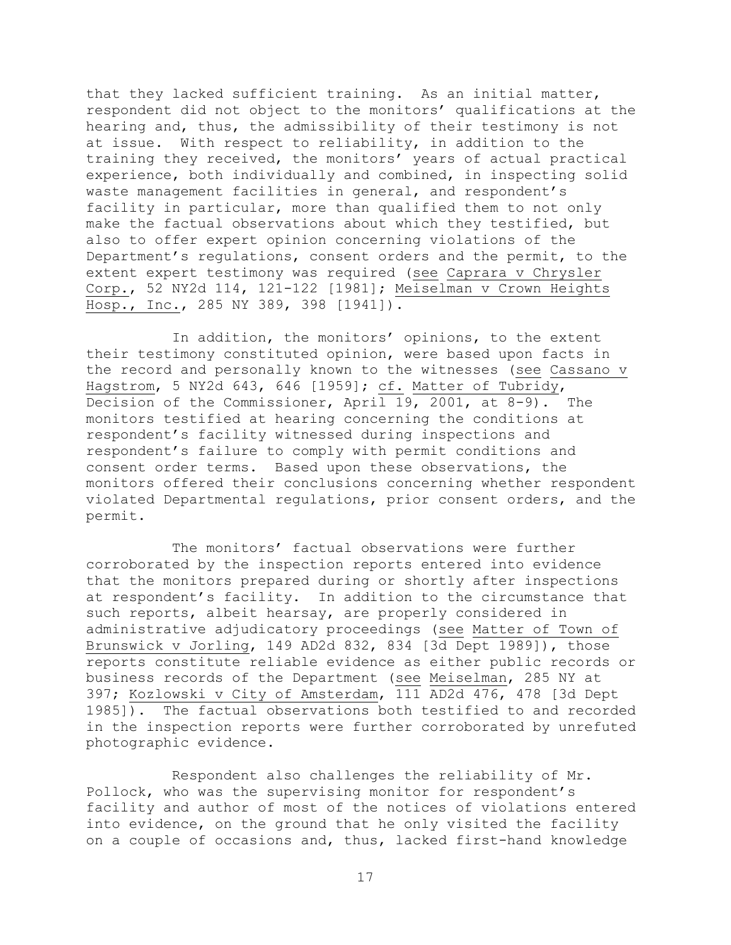that they lacked sufficient training. As an initial matter, respondent did not object to the monitors' qualifications at the hearing and, thus, the admissibility of their testimony is not at issue. With respect to reliability, in addition to the training they received, the monitors' years of actual practical experience, both individually and combined, in inspecting solid waste management facilities in general, and respondent's facility in particular, more than qualified them to not only make the factual observations about which they testified, but also to offer expert opinion concerning violations of the Department's regulations, consent orders and the permit, to the extent expert testimony was required (see Caprara v Chrysler Corp., 52 NY2d 114, 121-122 [1981]; Meiselman v Crown Heights Hosp., Inc., 285 NY 389, 398 [1941]).

In addition, the monitors' opinions, to the extent their testimony constituted opinion, were based upon facts in the record and personally known to the witnesses (see Cassano v Hagstrom, 5 NY2d 643, 646 [1959]; cf. Matter of Tubridy, Decision of the Commissioner, April 19, 2001, at 8-9). The monitors testified at hearing concerning the conditions at respondent's facility witnessed during inspections and respondent's failure to comply with permit conditions and consent order terms. Based upon these observations, the monitors offered their conclusions concerning whether respondent violated Departmental regulations, prior consent orders, and the permit.

The monitors' factual observations were further corroborated by the inspection reports entered into evidence that the monitors prepared during or shortly after inspections at respondent's facility. In addition to the circumstance that such reports, albeit hearsay, are properly considered in administrative adjudicatory proceedings (see Matter of Town of Brunswick v Jorling, 149 AD2d 832, 834 [3d Dept 1989]), those reports constitute reliable evidence as either public records or business records of the Department (see Meiselman, 285 NY at 397; Kozlowski v City of Amsterdam, 111 AD2d 476, 478 [3d Dept 1985]). The factual observations both testified to and recorded in the inspection reports were further corroborated by unrefuted photographic evidence.

Respondent also challenges the reliability of Mr. Pollock, who was the supervising monitor for respondent's facility and author of most of the notices of violations entered into evidence, on the ground that he only visited the facility on a couple of occasions and, thus, lacked first-hand knowledge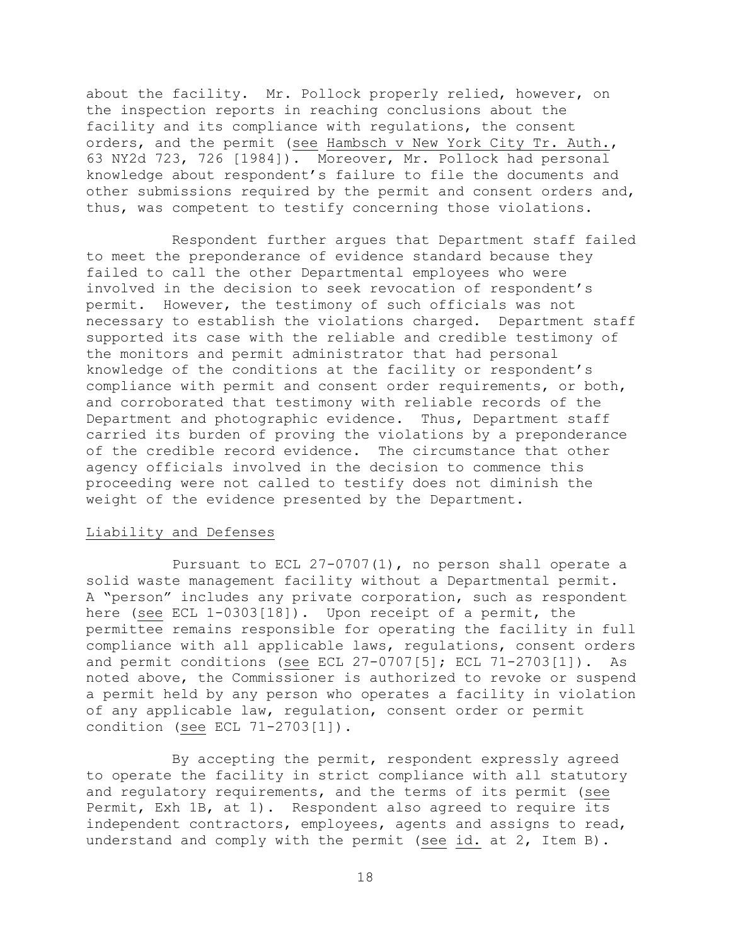about the facility. Mr. Pollock properly relied, however, on the inspection reports in reaching conclusions about the facility and its compliance with regulations, the consent orders, and the permit (see Hambsch v New York City Tr. Auth., 63 NY2d 723, 726 [1984]). Moreover, Mr. Pollock had personal knowledge about respondent's failure to file the documents and other submissions required by the permit and consent orders and, thus, was competent to testify concerning those violations.

Respondent further argues that Department staff failed to meet the preponderance of evidence standard because they failed to call the other Departmental employees who were involved in the decision to seek revocation of respondent's permit. However, the testimony of such officials was not necessary to establish the violations charged. Department staff supported its case with the reliable and credible testimony of the monitors and permit administrator that had personal knowledge of the conditions at the facility or respondent's compliance with permit and consent order requirements, or both, and corroborated that testimony with reliable records of the Department and photographic evidence. Thus, Department staff carried its burden of proving the violations by a preponderance of the credible record evidence. The circumstance that other agency officials involved in the decision to commence this proceeding were not called to testify does not diminish the weight of the evidence presented by the Department.

#### Liability and Defenses

Pursuant to ECL 27-0707(1), no person shall operate a solid waste management facility without a Departmental permit. A "person" includes any private corporation, such as respondent here (see ECL 1-0303[18]). Upon receipt of a permit, the permittee remains responsible for operating the facility in full compliance with all applicable laws, regulations, consent orders and permit conditions (see ECL 27-0707[5]; ECL 71-2703[1]). As noted above, the Commissioner is authorized to revoke or suspend a permit held by any person who operates a facility in violation of any applicable law, regulation, consent order or permit condition (see ECL 71-2703[1]).

By accepting the permit, respondent expressly agreed to operate the facility in strict compliance with all statutory and regulatory requirements, and the terms of its permit (see Permit, Exh 1B, at 1). Respondent also agreed to require its independent contractors, employees, agents and assigns to read, understand and comply with the permit (see id. at 2, Item B).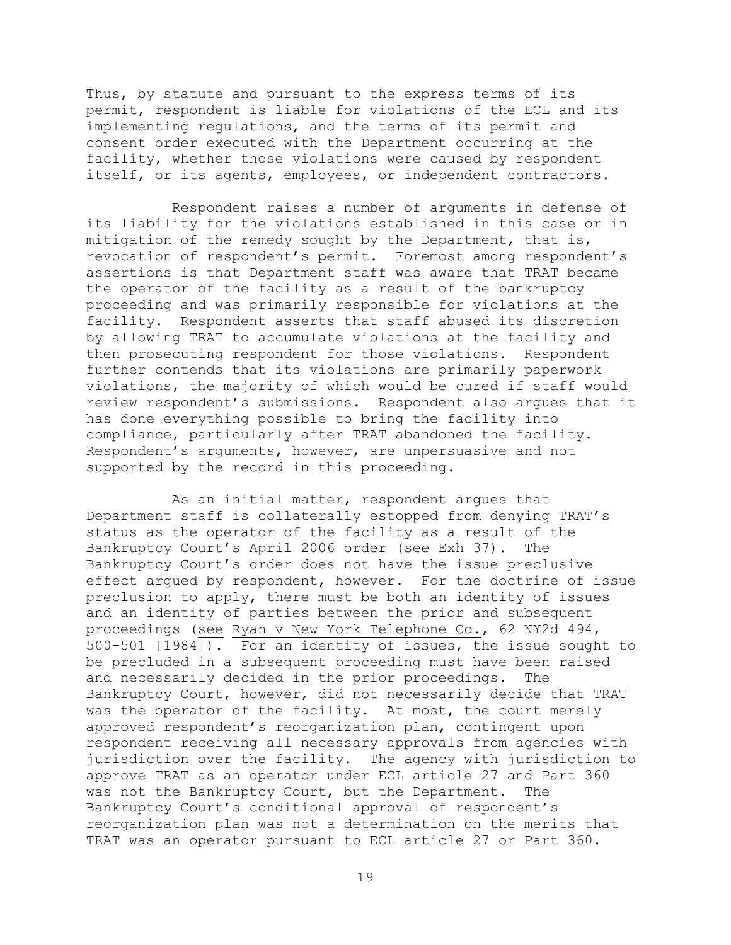Thus, by statute and pursuant to the express terms of its permit, respondent is liable for violations of the ECL and its implementing regulations, and the terms of its permit and consent order executed with the Department occurring at the facility, whether those violations were caused by respondent itself, or its agents, employees, or independent contractors.

Respondent raises a number of arguments in defense of its liability for the violations established in this case or in mitigation of the remedy sought by the Department, that is, revocation of respondent's permit. Foremost among respondent's assertions is that Department staff was aware that TRAT became the operator of the facility as a result of the bankruptcy proceeding and was primarily responsible for violations at the facility. Respondent asserts that staff abused its discretion by allowing TRAT to accumulate violations at the facility and then prosecuting respondent for those violations. Respondent further contends that its violations are primarily paperwork violations, the majority of which would be cured if staff would review respondent's submissions. Respondent also argues that it has done everything possible to bring the facility into compliance, particularly after TRAT abandoned the facility. Respondent's arguments, however, are unpersuasive and not supported by the record in this proceeding.

As an initial matter, respondent argues that Department staff is collaterally estopped from denying TRAT's status as the operator of the facility as a result of the Bankruptcy Court's April 2006 order (see Exh 37). The Bankruptcy Court's order does not have the issue preclusive effect argued by respondent, however. For the doctrine of issue preclusion to apply, there must be both an identity of issues and an identity of parties between the prior and subsequent proceedings (see Ryan v New York Telephone Co., 62 NY2d 494, 500-501 [1984]). For an identity of issues, the issue sought to be precluded in a subsequent proceeding must have been raised and necessarily decided in the prior proceedings. The Bankruptcy Court, however, did not necessarily decide that TRAT was the operator of the facility. At most, the court merely approved respondent's reorganization plan, contingent upon respondent receiving all necessary approvals from agencies with jurisdiction over the facility. The agency with jurisdiction to approve TRAT as an operator under ECL article 27 and Part 360 was not the Bankruptcy Court, but the Department. The Bankruptcy Court's conditional approval of respondent's reorganization plan was not a determination on the merits that TRAT was an operator pursuant to ECL article 27 or Part 360.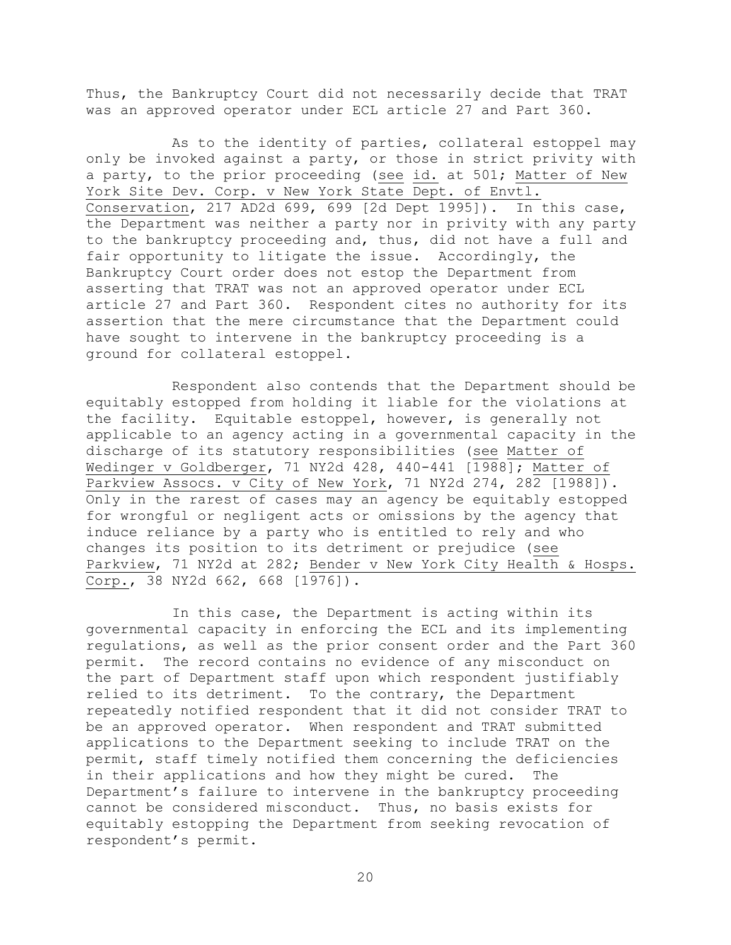Thus, the Bankruptcy Court did not necessarily decide that TRAT was an approved operator under ECL article 27 and Part 360.

As to the identity of parties, collateral estoppel may only be invoked against a party, or those in strict privity with a party, to the prior proceeding (see id. at 501; Matter of New York Site Dev. Corp. v New York State Dept. of Envtl. Conservation, 217 AD2d 699, 699 [2d Dept 1995]). In this case, the Department was neither a party nor in privity with any party to the bankruptcy proceeding and, thus, did not have a full and fair opportunity to litigate the issue. Accordingly, the Bankruptcy Court order does not estop the Department from asserting that TRAT was not an approved operator under ECL article 27 and Part 360. Respondent cites no authority for its assertion that the mere circumstance that the Department could have sought to intervene in the bankruptcy proceeding is a ground for collateral estoppel.

Respondent also contends that the Department should be equitably estopped from holding it liable for the violations at the facility. Equitable estoppel, however, is generally not applicable to an agency acting in a governmental capacity in the discharge of its statutory responsibilities (see Matter of Wedinger v Goldberger, 71 NY2d 428, 440-441 [1988]; Matter of Parkview Assocs. v City of New York, 71 NY2d 274, 282 [1988]). Only in the rarest of cases may an agency be equitably estopped for wrongful or negligent acts or omissions by the agency that induce reliance by a party who is entitled to rely and who changes its position to its detriment or prejudice (see Parkview, 71 NY2d at 282; Bender v New York City Health & Hosps. Corp., 38 NY2d 662, 668 [1976]).

In this case, the Department is acting within its governmental capacity in enforcing the ECL and its implementing regulations, as well as the prior consent order and the Part 360 permit. The record contains no evidence of any misconduct on the part of Department staff upon which respondent justifiably relied to its detriment. To the contrary, the Department repeatedly notified respondent that it did not consider TRAT to be an approved operator. When respondent and TRAT submitted applications to the Department seeking to include TRAT on the permit, staff timely notified them concerning the deficiencies in their applications and how they might be cured. The Department's failure to intervene in the bankruptcy proceeding cannot be considered misconduct. Thus, no basis exists for equitably estopping the Department from seeking revocation of respondent's permit.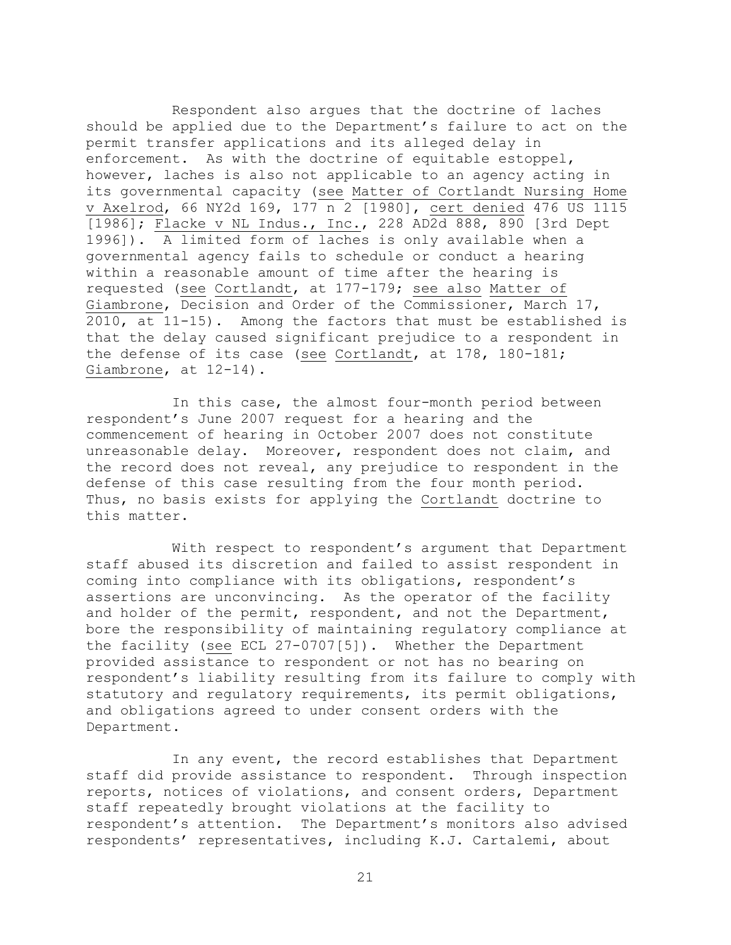Respondent also argues that the doctrine of laches should be applied due to the Department's failure to act on the permit transfer applications and its alleged delay in enforcement. As with the doctrine of equitable estoppel, however, laches is also not applicable to an agency acting in its governmental capacity (see Matter of Cortlandt Nursing Home v Axelrod, 66 NY2d 169, 177 n 2 [1980], cert denied 476 US 1115 [1986]; Flacke v NL Indus., Inc., 228 AD2d 888, 890 [3rd Dept 1996]). A limited form of laches is only available when a governmental agency fails to schedule or conduct a hearing within a reasonable amount of time after the hearing is requested (see Cortlandt, at 177-179; see also Matter of Giambrone, Decision and Order of the Commissioner, March 17, 2010, at 11-15). Among the factors that must be established is that the delay caused significant prejudice to a respondent in the defense of its case (see Cortlandt, at 178, 180-181; Giambrone, at 12-14).

In this case, the almost four-month period between respondent's June 2007 request for a hearing and the commencement of hearing in October 2007 does not constitute unreasonable delay. Moreover, respondent does not claim, and the record does not reveal, any prejudice to respondent in the defense of this case resulting from the four month period. Thus, no basis exists for applying the Cortlandt doctrine to this matter.

With respect to respondent's argument that Department staff abused its discretion and failed to assist respondent in coming into compliance with its obligations, respondent's assertions are unconvincing. As the operator of the facility and holder of the permit, respondent, and not the Department, bore the responsibility of maintaining regulatory compliance at the facility (see ECL 27-0707[5]). Whether the Department provided assistance to respondent or not has no bearing on respondent's liability resulting from its failure to comply with statutory and regulatory requirements, its permit obligations, and obligations agreed to under consent orders with the Department.

In any event, the record establishes that Department staff did provide assistance to respondent. Through inspection reports, notices of violations, and consent orders, Department staff repeatedly brought violations at the facility to respondent's attention. The Department's monitors also advised respondents' representatives, including K.J. Cartalemi, about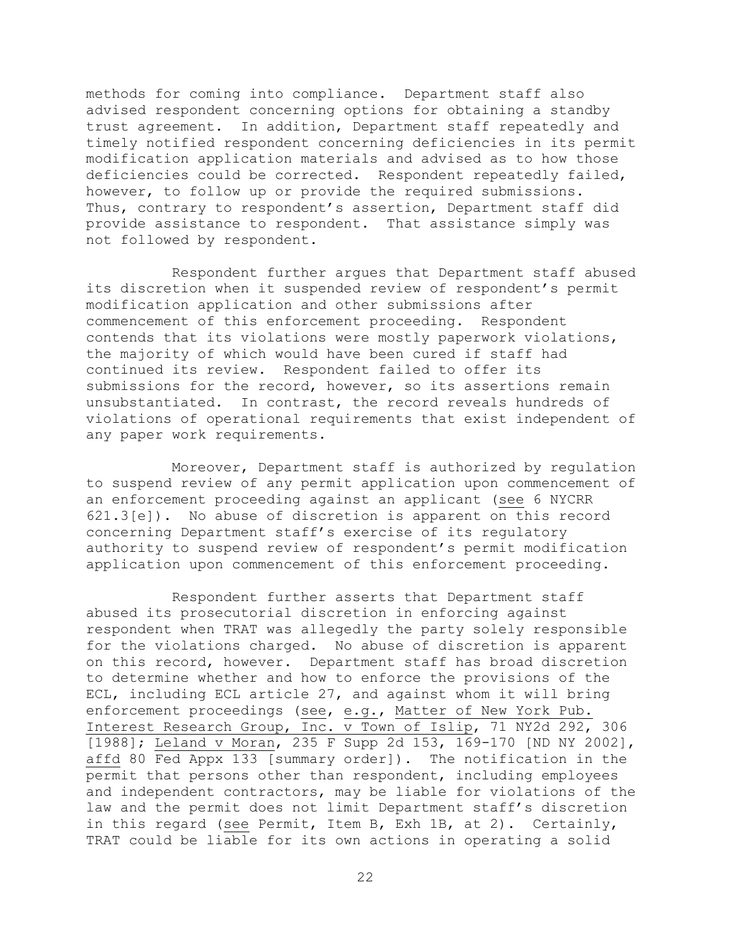methods for coming into compliance. Department staff also advised respondent concerning options for obtaining a standby trust agreement. In addition, Department staff repeatedly and timely notified respondent concerning deficiencies in its permit modification application materials and advised as to how those deficiencies could be corrected. Respondent repeatedly failed, however, to follow up or provide the required submissions. Thus, contrary to respondent's assertion, Department staff did provide assistance to respondent. That assistance simply was not followed by respondent.

Respondent further argues that Department staff abused its discretion when it suspended review of respondent's permit modification application and other submissions after commencement of this enforcement proceeding. Respondent contends that its violations were mostly paperwork violations, the majority of which would have been cured if staff had continued its review. Respondent failed to offer its submissions for the record, however, so its assertions remain unsubstantiated. In contrast, the record reveals hundreds of violations of operational requirements that exist independent of any paper work requirements.

Moreover, Department staff is authorized by regulation to suspend review of any permit application upon commencement of an enforcement proceeding against an applicant (see 6 NYCRR 621.3[e]). No abuse of discretion is apparent on this record concerning Department staff's exercise of its regulatory authority to suspend review of respondent's permit modification application upon commencement of this enforcement proceeding.

 Respondent further asserts that Department staff abused its prosecutorial discretion in enforcing against respondent when TRAT was allegedly the party solely responsible for the violations charged. No abuse of discretion is apparent on this record, however. Department staff has broad discretion to determine whether and how to enforce the provisions of the ECL, including ECL article 27, and against whom it will bring enforcement proceedings (see, e.g., Matter of New York Pub. Interest Research Group, Inc. v Town of Islip, 71 NY2d 292, 306 [1988]; Leland v Moran, 235 F Supp 2d 153, 169-170 [ND NY 2002], affd 80 Fed Appx 133 [summary order]). The notification in the permit that persons other than respondent, including employees and independent contractors, may be liable for violations of the law and the permit does not limit Department staff's discretion in this regard (see Permit, Item B, Exh 1B, at 2). Certainly, TRAT could be liable for its own actions in operating a solid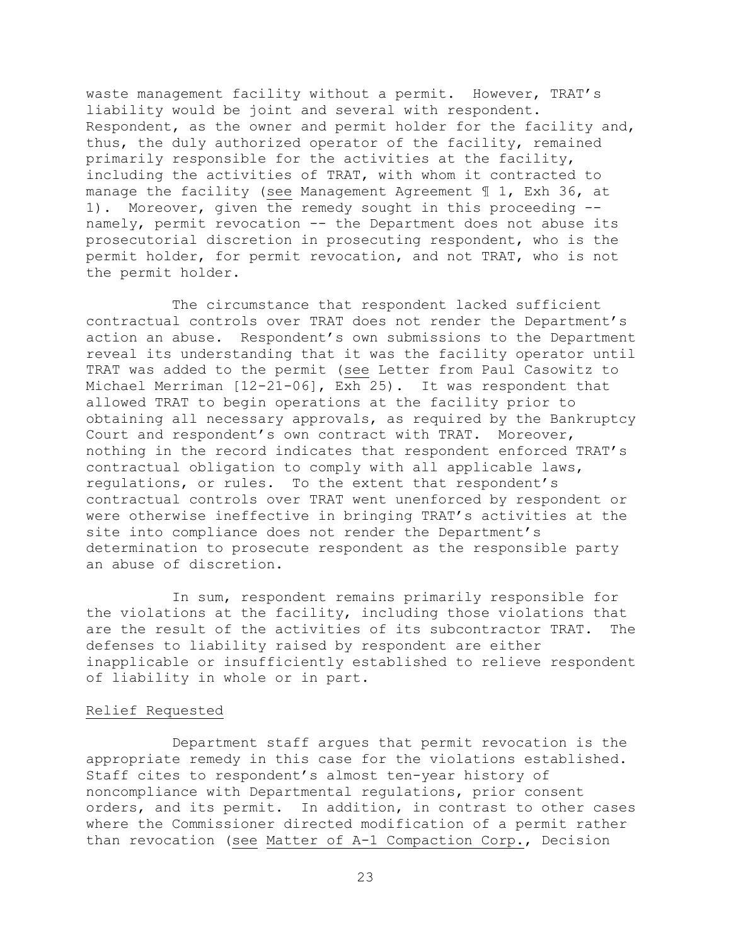waste management facility without a permit. However, TRAT's liability would be joint and several with respondent. Respondent, as the owner and permit holder for the facility and, thus, the duly authorized operator of the facility, remained primarily responsible for the activities at the facility, including the activities of TRAT, with whom it contracted to manage the facility (see Management Agreement ¶ 1, Exh 36, at 1). Moreover, given the remedy sought in this proceeding - namely, permit revocation -- the Department does not abuse its prosecutorial discretion in prosecuting respondent, who is the permit holder, for permit revocation, and not TRAT, who is not the permit holder.

The circumstance that respondent lacked sufficient contractual controls over TRAT does not render the Department's action an abuse. Respondent's own submissions to the Department reveal its understanding that it was the facility operator until TRAT was added to the permit (see Letter from Paul Casowitz to Michael Merriman [12-21-06], Exh 25). It was respondent that allowed TRAT to begin operations at the facility prior to obtaining all necessary approvals, as required by the Bankruptcy Court and respondent's own contract with TRAT. Moreover, nothing in the record indicates that respondent enforced TRAT's contractual obligation to comply with all applicable laws, regulations, or rules. To the extent that respondent's contractual controls over TRAT went unenforced by respondent or were otherwise ineffective in bringing TRAT's activities at the site into compliance does not render the Department's determination to prosecute respondent as the responsible party an abuse of discretion.

In sum, respondent remains primarily responsible for the violations at the facility, including those violations that are the result of the activities of its subcontractor TRAT. The defenses to liability raised by respondent are either inapplicable or insufficiently established to relieve respondent of liability in whole or in part.

#### Relief Requested

Department staff argues that permit revocation is the appropriate remedy in this case for the violations established. Staff cites to respondent's almost ten-year history of noncompliance with Departmental regulations, prior consent orders, and its permit. In addition, in contrast to other cases where the Commissioner directed modification of a permit rather than revocation (see Matter of A-1 Compaction Corp., Decision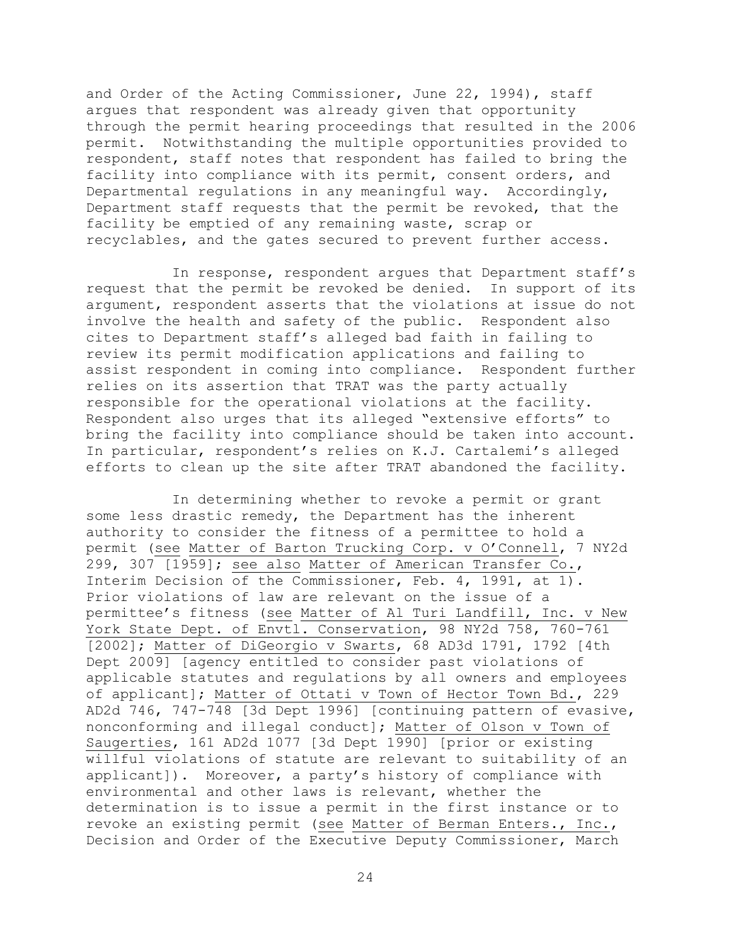and Order of the Acting Commissioner, June 22, 1994), staff argues that respondent was already given that opportunity through the permit hearing proceedings that resulted in the 2006 permit. Notwithstanding the multiple opportunities provided to respondent, staff notes that respondent has failed to bring the facility into compliance with its permit, consent orders, and Departmental regulations in any meaningful way. Accordingly, Department staff requests that the permit be revoked, that the facility be emptied of any remaining waste, scrap or recyclables, and the gates secured to prevent further access.

In response, respondent argues that Department staff's request that the permit be revoked be denied. In support of its argument, respondent asserts that the violations at issue do not involve the health and safety of the public. Respondent also cites to Department staff's alleged bad faith in failing to review its permit modification applications and failing to assist respondent in coming into compliance. Respondent further relies on its assertion that TRAT was the party actually responsible for the operational violations at the facility. Respondent also urges that its alleged "extensive efforts" to bring the facility into compliance should be taken into account. In particular, respondent's relies on K.J. Cartalemi's alleged efforts to clean up the site after TRAT abandoned the facility.

In determining whether to revoke a permit or grant some less drastic remedy, the Department has the inherent authority to consider the fitness of a permittee to hold a permit (see Matter of Barton Trucking Corp. v O'Connell, 7 NY2d 299, 307 [1959]; see also Matter of American Transfer Co., Interim Decision of the Commissioner, Feb. 4, 1991, at 1). Prior violations of law are relevant on the issue of a permittee's fitness (see Matter of Al Turi Landfill, Inc. v New York State Dept. of Envtl. Conservation, 98 NY2d 758, 760-761 [2002]; Matter of DiGeorgio v Swarts, 68 AD3d 1791, 1792 [4th Dept 2009] [agency entitled to consider past violations of applicable statutes and regulations by all owners and employees of applicant]; Matter of Ottati v Town of Hector Town Bd., 229 AD2d 746, 747-748 [3d Dept 1996] [continuing pattern of evasive, nonconforming and illegal conduct]; Matter of Olson v Town of Saugerties, 161 AD2d 1077 [3d Dept 1990] [prior or existing willful violations of statute are relevant to suitability of an applicant]). Moreover, a party's history of compliance with environmental and other laws is relevant, whether the determination is to issue a permit in the first instance or to revoke an existing permit (see Matter of Berman Enters., Inc., Decision and Order of the Executive Deputy Commissioner, March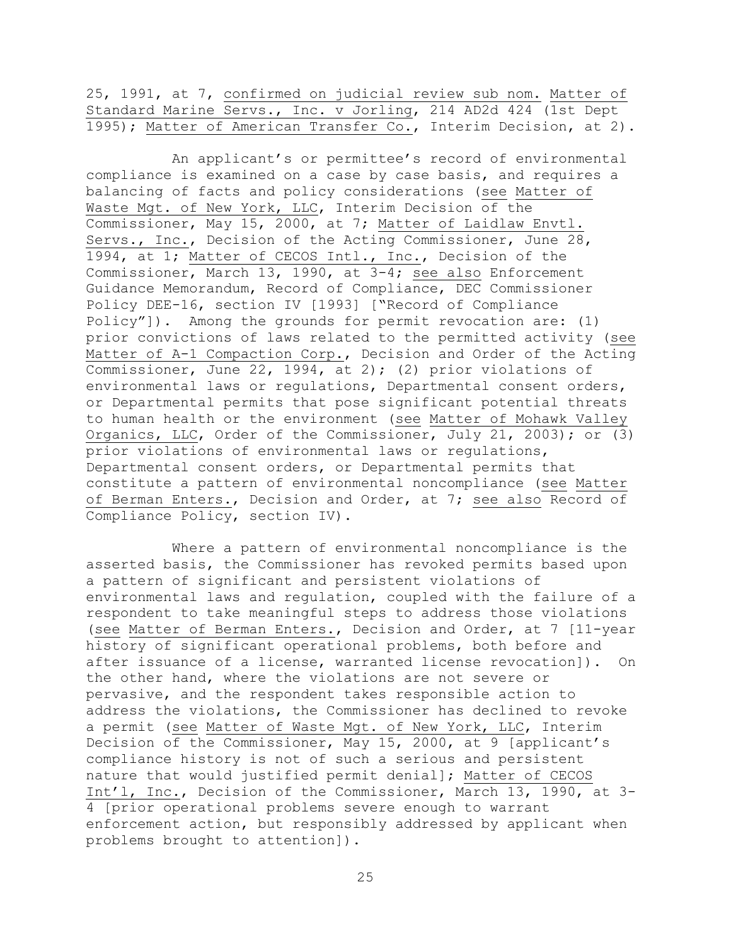25, 1991, at 7, confirmed on judicial review sub nom. Matter of Standard Marine Servs., Inc. v Jorling, 214 AD2d 424 (1st Dept 1995); Matter of American Transfer Co., Interim Decision, at 2).

An applicant's or permittee's record of environmental compliance is examined on a case by case basis, and requires a balancing of facts and policy considerations (see Matter of Waste Mgt. of New York, LLC, Interim Decision of the Commissioner, May 15, 2000, at 7; Matter of Laidlaw Envtl. Servs., Inc., Decision of the Acting Commissioner, June 28, 1994, at 1; Matter of CECOS Intl., Inc., Decision of the Commissioner, March 13, 1990, at 3-4; see also Enforcement Guidance Memorandum, Record of Compliance, DEC Commissioner Policy DEE-16, section IV [1993] ["Record of Compliance Policy"]). Among the grounds for permit revocation are: (1) prior convictions of laws related to the permitted activity (see Matter of A-1 Compaction Corp., Decision and Order of the Acting Commissioner, June 22, 1994, at 2); (2) prior violations of environmental laws or regulations, Departmental consent orders, or Departmental permits that pose significant potential threats to human health or the environment (see Matter of Mohawk Valley Organics, LLC, Order of the Commissioner, July 21, 2003); or (3) prior violations of environmental laws or regulations, Departmental consent orders, or Departmental permits that constitute a pattern of environmental noncompliance (see Matter of Berman Enters., Decision and Order, at 7; see also Record of Compliance Policy, section IV).

Where a pattern of environmental noncompliance is the asserted basis, the Commissioner has revoked permits based upon a pattern of significant and persistent violations of environmental laws and regulation, coupled with the failure of a respondent to take meaningful steps to address those violations (see Matter of Berman Enters., Decision and Order, at 7 [11-year history of significant operational problems, both before and after issuance of a license, warranted license revocation]). On the other hand, where the violations are not severe or pervasive, and the respondent takes responsible action to address the violations, the Commissioner has declined to revoke a permit (see Matter of Waste Mgt. of New York, LLC, Interim Decision of the Commissioner, May 15, 2000, at 9 [applicant's compliance history is not of such a serious and persistent nature that would justified permit denial]; Matter of CECOS Int'l, Inc., Decision of the Commissioner, March 13, 1990, at 3- 4 [prior operational problems severe enough to warrant enforcement action, but responsibly addressed by applicant when problems brought to attention]).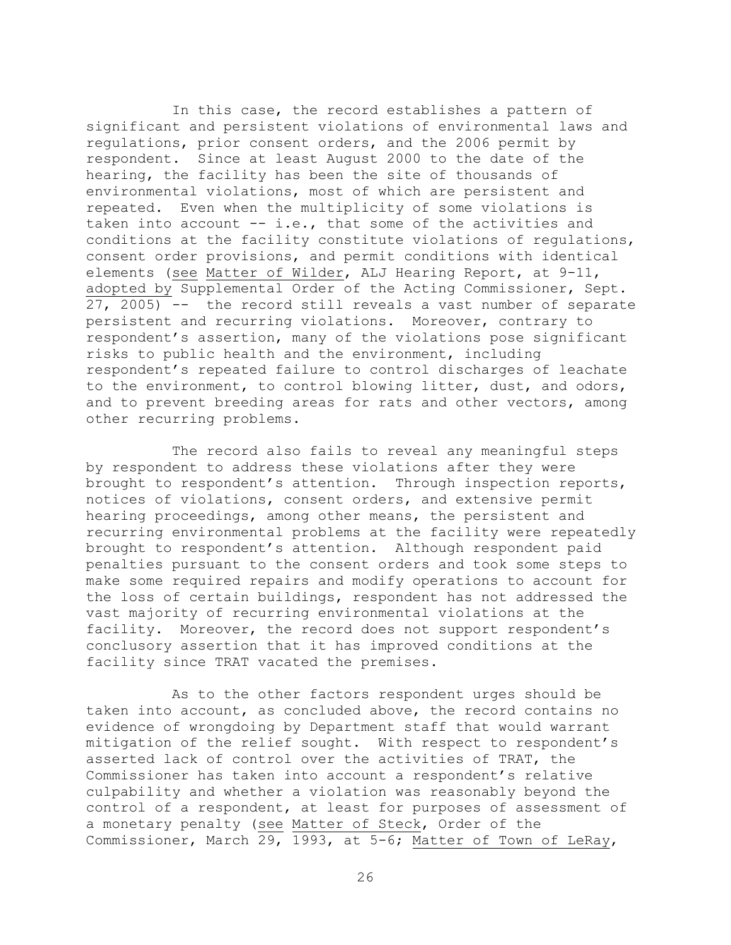In this case, the record establishes a pattern of significant and persistent violations of environmental laws and regulations, prior consent orders, and the 2006 permit by respondent. Since at least August 2000 to the date of the hearing, the facility has been the site of thousands of environmental violations, most of which are persistent and repeated. Even when the multiplicity of some violations is taken into account -- i.e., that some of the activities and conditions at the facility constitute violations of regulations, consent order provisions, and permit conditions with identical elements (see Matter of Wilder, ALJ Hearing Report, at 9-11, adopted by Supplemental Order of the Acting Commissioner, Sept. 27, 2005) -- the record still reveals a vast number of separate persistent and recurring violations. Moreover, contrary to respondent's assertion, many of the violations pose significant risks to public health and the environment, including respondent's repeated failure to control discharges of leachate to the environment, to control blowing litter, dust, and odors, and to prevent breeding areas for rats and other vectors, among other recurring problems.

The record also fails to reveal any meaningful steps by respondent to address these violations after they were brought to respondent's attention. Through inspection reports, notices of violations, consent orders, and extensive permit hearing proceedings, among other means, the persistent and recurring environmental problems at the facility were repeatedly brought to respondent's attention. Although respondent paid penalties pursuant to the consent orders and took some steps to make some required repairs and modify operations to account for the loss of certain buildings, respondent has not addressed the vast majority of recurring environmental violations at the facility. Moreover, the record does not support respondent's conclusory assertion that it has improved conditions at the facility since TRAT vacated the premises.

As to the other factors respondent urges should be taken into account, as concluded above, the record contains no evidence of wrongdoing by Department staff that would warrant mitigation of the relief sought. With respect to respondent's asserted lack of control over the activities of TRAT, the Commissioner has taken into account a respondent's relative culpability and whether a violation was reasonably beyond the control of a respondent, at least for purposes of assessment of a monetary penalty (see Matter of Steck, Order of the Commissioner, March 29, 1993, at 5-6; Matter of Town of LeRay,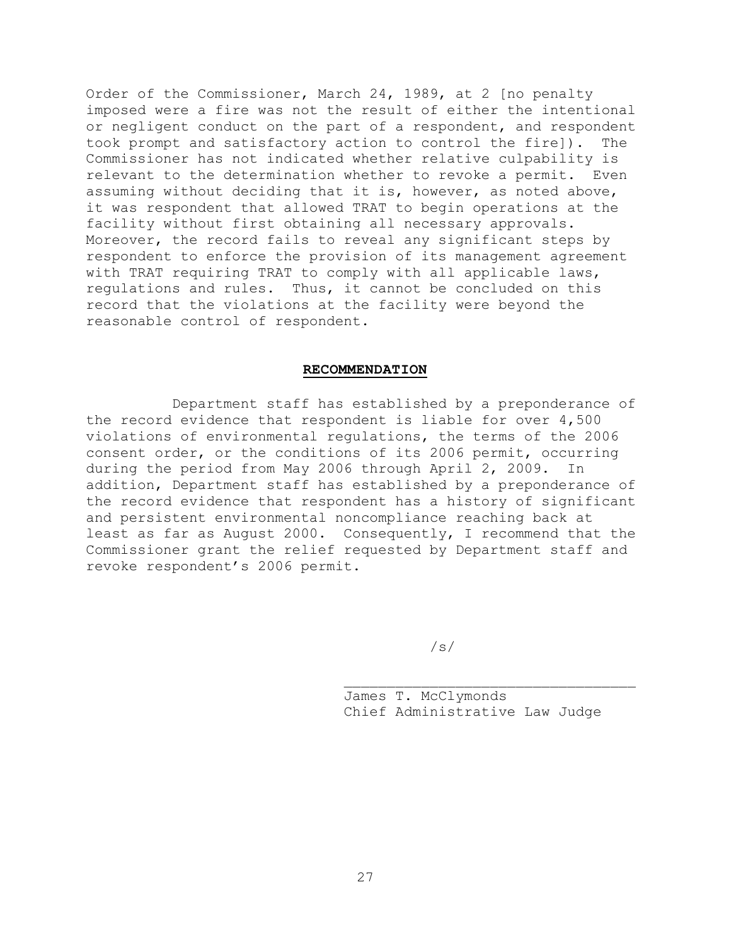Order of the Commissioner, March 24, 1989, at 2 [no penalty imposed were a fire was not the result of either the intentional or negligent conduct on the part of a respondent, and respondent took prompt and satisfactory action to control the fire]). The Commissioner has not indicated whether relative culpability is relevant to the determination whether to revoke a permit. Even assuming without deciding that it is, however, as noted above, it was respondent that allowed TRAT to begin operations at the facility without first obtaining all necessary approvals. Moreover, the record fails to reveal any significant steps by respondent to enforce the provision of its management agreement with TRAT requiring TRAT to comply with all applicable laws, regulations and rules. Thus, it cannot be concluded on this record that the violations at the facility were beyond the reasonable control of respondent.

#### **RECOMMENDATION**

Department staff has established by a preponderance of the record evidence that respondent is liable for over 4,500 violations of environmental regulations, the terms of the 2006 consent order, or the conditions of its 2006 permit, occurring during the period from May 2006 through April 2, 2009. In addition, Department staff has established by a preponderance of the record evidence that respondent has a history of significant and persistent environmental noncompliance reaching back at least as far as August 2000. Consequently, I recommend that the Commissioner grant the relief requested by Department staff and revoke respondent's 2006 permit.

/s/

James T. McClymonds Chief Administrative Law Judge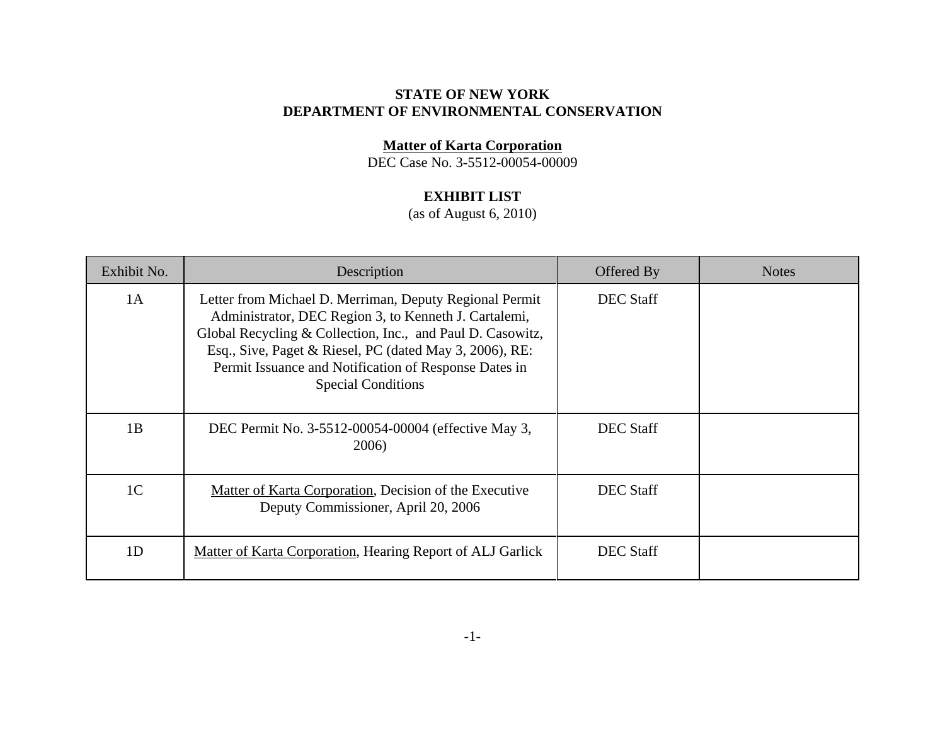# **STATE OF NEW YORKDEPARTMENT OF ENVIRONMENTAL CONSERVATION**

# **Matter of Karta Corporation**

DEC Case No. 3-5512-00054-00009

## **EXHIBIT LIST**

(as of August 6, 2010)

| Exhibit No.    | Description                                                                                                                                                                                                                                                                                                                     | Offered By       | <b>Notes</b> |
|----------------|---------------------------------------------------------------------------------------------------------------------------------------------------------------------------------------------------------------------------------------------------------------------------------------------------------------------------------|------------------|--------------|
| 1A             | Letter from Michael D. Merriman, Deputy Regional Permit<br>Administrator, DEC Region 3, to Kenneth J. Cartalemi,<br>Global Recycling & Collection, Inc., and Paul D. Casowitz,<br>Esq., Sive, Paget & Riesel, PC (dated May 3, 2006), RE:<br>Permit Issuance and Notification of Response Dates in<br><b>Special Conditions</b> | <b>DEC</b> Staff |              |
| 1B             | DEC Permit No. 3-5512-00054-00004 (effective May 3,<br>2006)                                                                                                                                                                                                                                                                    | <b>DEC Staff</b> |              |
| 1 <sup>C</sup> | Matter of Karta Corporation, Decision of the Executive<br>Deputy Commissioner, April 20, 2006                                                                                                                                                                                                                                   | <b>DEC</b> Staff |              |
| 1D             | Matter of Karta Corporation, Hearing Report of ALJ Garlick                                                                                                                                                                                                                                                                      | <b>DEC</b> Staff |              |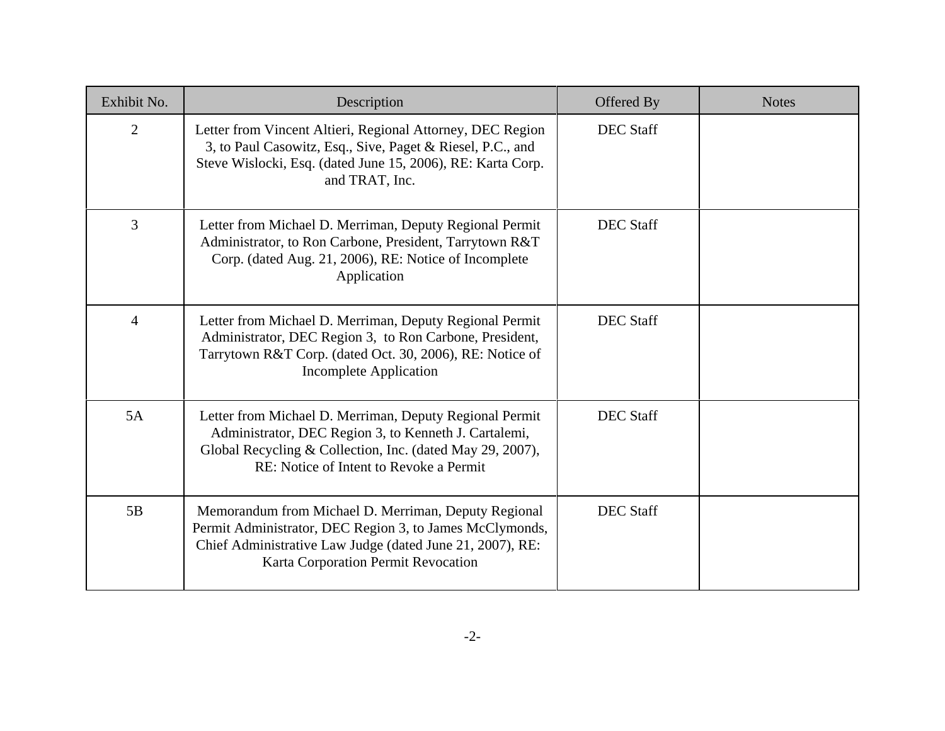| Exhibit No.    | Description                                                                                                                                                                                                              | Offered By       | <b>Notes</b> |
|----------------|--------------------------------------------------------------------------------------------------------------------------------------------------------------------------------------------------------------------------|------------------|--------------|
| $\overline{2}$ | Letter from Vincent Altieri, Regional Attorney, DEC Region<br>3, to Paul Casowitz, Esq., Sive, Paget & Riesel, P.C., and<br>Steve Wislocki, Esq. (dated June 15, 2006), RE: Karta Corp.<br>and TRAT, Inc.                | <b>DEC</b> Staff |              |
| 3              | Letter from Michael D. Merriman, Deputy Regional Permit<br>Administrator, to Ron Carbone, President, Tarrytown R&T<br>Corp. (dated Aug. 21, 2006), RE: Notice of Incomplete<br>Application                               | <b>DEC</b> Staff |              |
| $\overline{4}$ | Letter from Michael D. Merriman, Deputy Regional Permit<br>Administrator, DEC Region 3, to Ron Carbone, President,<br>Tarrytown R&T Corp. (dated Oct. 30, 2006), RE: Notice of<br><b>Incomplete Application</b>          | <b>DEC</b> Staff |              |
| 5A             | Letter from Michael D. Merriman, Deputy Regional Permit<br>Administrator, DEC Region 3, to Kenneth J. Cartalemi,<br>Global Recycling & Collection, Inc. (dated May 29, 2007),<br>RE: Notice of Intent to Revoke a Permit | <b>DEC</b> Staff |              |
| 5B             | Memorandum from Michael D. Merriman, Deputy Regional<br>Permit Administrator, DEC Region 3, to James McClymonds,<br>Chief Administrative Law Judge (dated June 21, 2007), RE:<br>Karta Corporation Permit Revocation     | <b>DEC Staff</b> |              |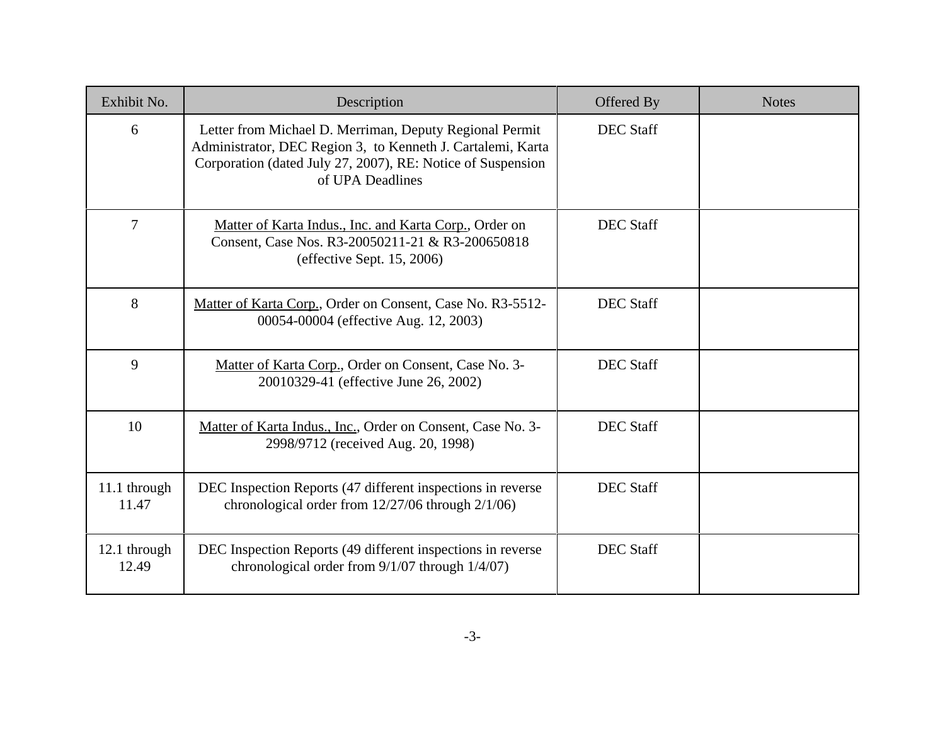| Exhibit No.           | Description                                                                                                                                                                                               | Offered By       | <b>Notes</b> |
|-----------------------|-----------------------------------------------------------------------------------------------------------------------------------------------------------------------------------------------------------|------------------|--------------|
| 6                     | Letter from Michael D. Merriman, Deputy Regional Permit<br>Administrator, DEC Region 3, to Kenneth J. Cartalemi, Karta<br>Corporation (dated July 27, 2007), RE: Notice of Suspension<br>of UPA Deadlines | <b>DEC Staff</b> |              |
| $\overline{7}$        | Matter of Karta Indus., Inc. and Karta Corp., Order on<br>Consent, Case Nos. R3-20050211-21 & R3-200650818<br>(effective Sept. $15, 2006$ )                                                               | <b>DEC Staff</b> |              |
| 8                     | Matter of Karta Corp., Order on Consent, Case No. R3-5512-<br>00054-00004 (effective Aug. 12, 2003)                                                                                                       | <b>DEC Staff</b> |              |
| 9                     | Matter of Karta Corp., Order on Consent, Case No. 3-<br>20010329-41 (effective June 26, 2002)                                                                                                             | <b>DEC</b> Staff |              |
| 10                    | Matter of Karta Indus., Inc., Order on Consent, Case No. 3-<br>2998/9712 (received Aug. 20, 1998)                                                                                                         | <b>DEC</b> Staff |              |
| 11.1 through<br>11.47 | DEC Inspection Reports (47 different inspections in reverse<br>chronological order from $12/27/06$ through $2/1/06$ )                                                                                     | <b>DEC Staff</b> |              |
| 12.1 through<br>12.49 | DEC Inspection Reports (49 different inspections in reverse<br>chronological order from $9/1/07$ through $1/4/07$ )                                                                                       | <b>DEC Staff</b> |              |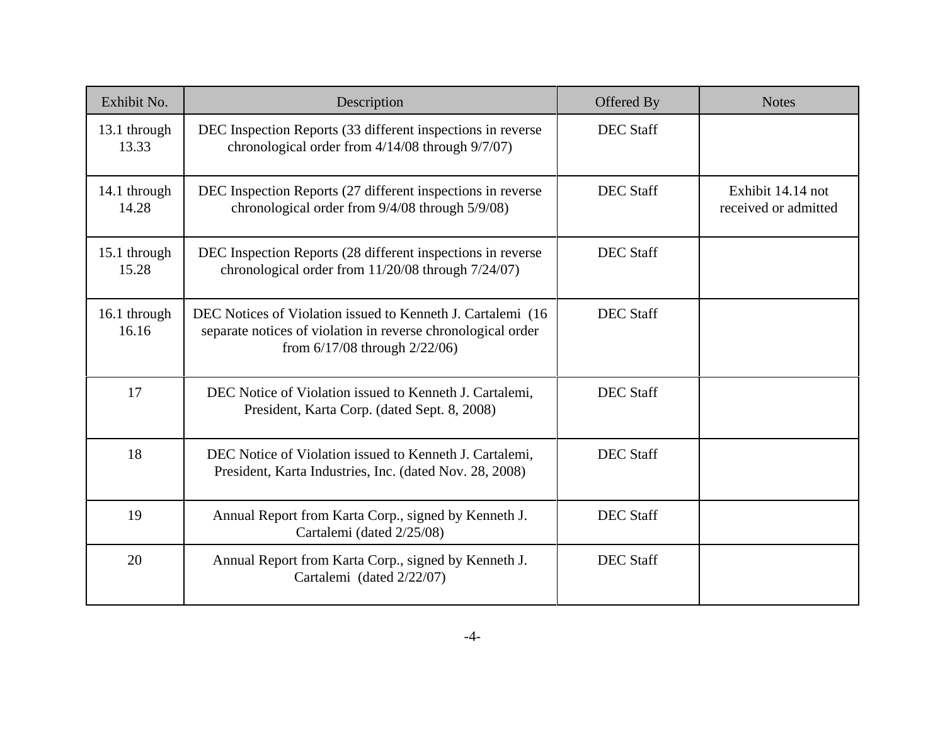| Exhibit No.           | Description                                                                                                                                                        | Offered By       | <b>Notes</b>                              |
|-----------------------|--------------------------------------------------------------------------------------------------------------------------------------------------------------------|------------------|-------------------------------------------|
| 13.1 through<br>13.33 | DEC Inspection Reports (33 different inspections in reverse<br>chronological order from $4/14/08$ through $9/7/07$ )                                               | <b>DEC Staff</b> |                                           |
| 14.1 through<br>14.28 | DEC Inspection Reports (27 different inspections in reverse<br>chronological order from 9/4/08 through 5/9/08)                                                     | <b>DEC</b> Staff | Exhibit 14.14 not<br>received or admitted |
| 15.1 through<br>15.28 | DEC Inspection Reports (28 different inspections in reverse<br>chronological order from $11/20/08$ through $7/24/07$ )                                             | <b>DEC</b> Staff |                                           |
| 16.1 through<br>16.16 | DEC Notices of Violation issued to Kenneth J. Cartalemi (16)<br>separate notices of violation in reverse chronological order<br>from $6/17/08$ through $2/22/06$ ) | <b>DEC Staff</b> |                                           |
| 17                    | DEC Notice of Violation issued to Kenneth J. Cartalemi,<br>President, Karta Corp. (dated Sept. 8, 2008)                                                            | <b>DEC</b> Staff |                                           |
| 18                    | DEC Notice of Violation issued to Kenneth J. Cartalemi,<br>President, Karta Industries, Inc. (dated Nov. 28, 2008)                                                 | <b>DEC Staff</b> |                                           |
| 19                    | Annual Report from Karta Corp., signed by Kenneth J.<br>Cartalemi (dated 2/25/08)                                                                                  | <b>DEC Staff</b> |                                           |
| 20                    | Annual Report from Karta Corp., signed by Kenneth J.<br>Cartalemi (dated 2/22/07)                                                                                  | <b>DEC Staff</b> |                                           |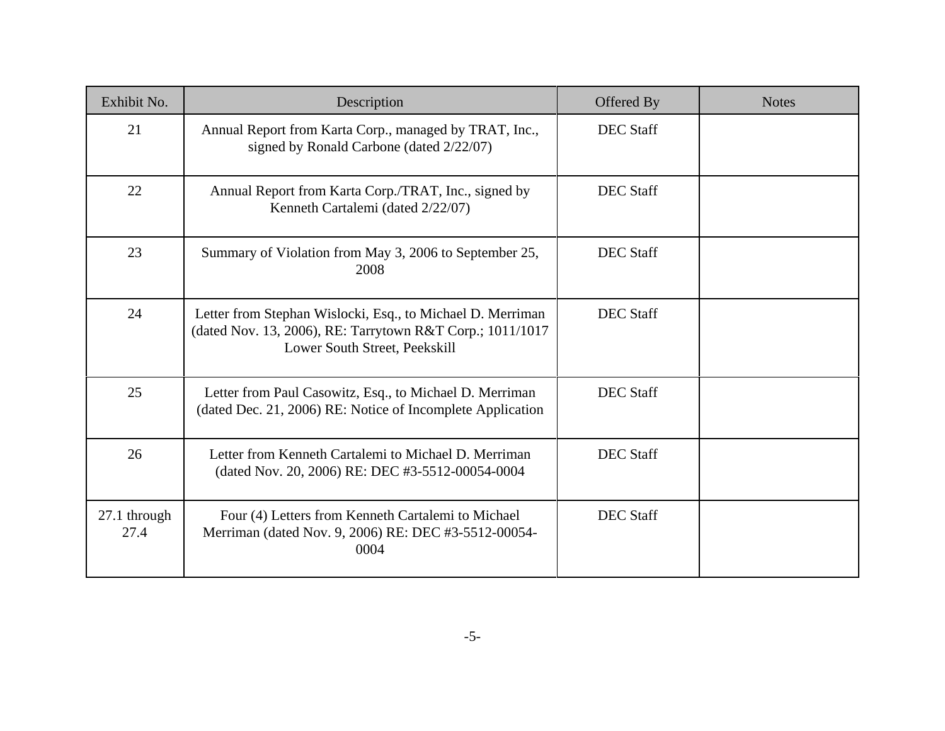| Exhibit No.          | Description                                                                                                                                              | Offered By       | <b>Notes</b> |
|----------------------|----------------------------------------------------------------------------------------------------------------------------------------------------------|------------------|--------------|
| 21                   | Annual Report from Karta Corp., managed by TRAT, Inc.,<br>signed by Ronald Carbone (dated 2/22/07)                                                       | <b>DEC</b> Staff |              |
| 22                   | Annual Report from Karta Corp./TRAT, Inc., signed by<br>Kenneth Cartalemi (dated 2/22/07)                                                                | <b>DEC</b> Staff |              |
| 23                   | Summary of Violation from May 3, 2006 to September 25,<br>2008                                                                                           | <b>DEC</b> Staff |              |
| 24                   | Letter from Stephan Wislocki, Esq., to Michael D. Merriman<br>(dated Nov. 13, 2006), RE: Tarrytown R&T Corp.; 1011/1017<br>Lower South Street, Peekskill | <b>DEC</b> Staff |              |
| 25                   | Letter from Paul Casowitz, Esq., to Michael D. Merriman<br>(dated Dec. 21, 2006) RE: Notice of Incomplete Application                                    | <b>DEC Staff</b> |              |
| 26                   | Letter from Kenneth Cartalemi to Michael D. Merriman<br>(dated Nov. 20, 2006) RE: DEC #3-5512-00054-0004                                                 | <b>DEC Staff</b> |              |
| 27.1 through<br>27.4 | Four (4) Letters from Kenneth Cartalemi to Michael<br>Merriman (dated Nov. 9, 2006) RE: DEC #3-5512-00054-<br>0004                                       | <b>DEC Staff</b> |              |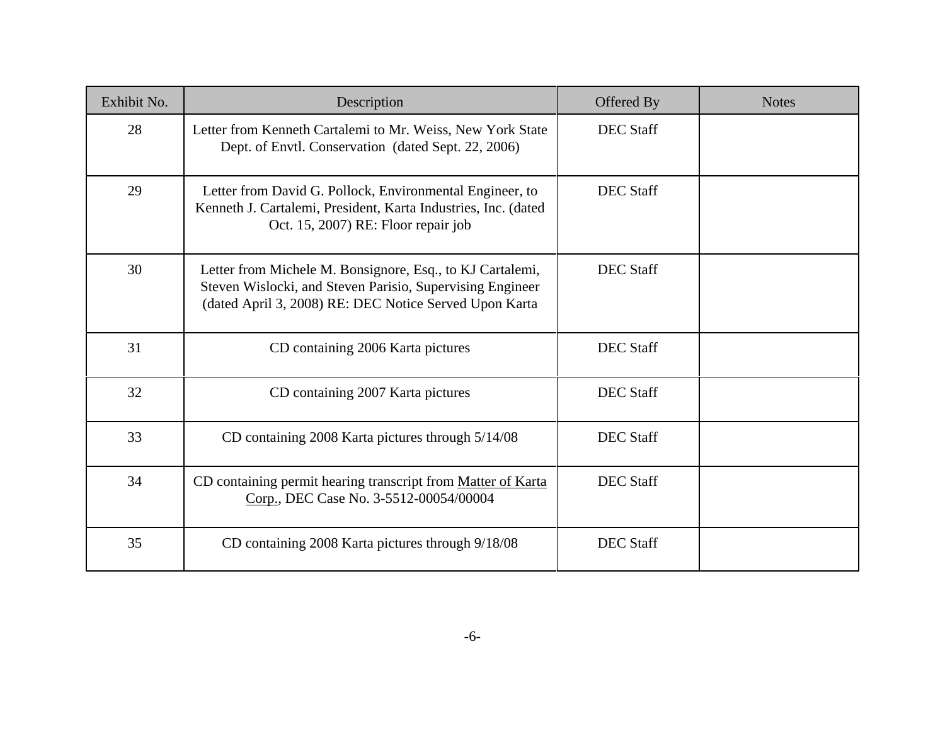| Exhibit No. | Description                                                                                                                                                                      | Offered By       | <b>Notes</b> |
|-------------|----------------------------------------------------------------------------------------------------------------------------------------------------------------------------------|------------------|--------------|
| 28          | Letter from Kenneth Cartalemi to Mr. Weiss, New York State<br>Dept. of Envtl. Conservation (dated Sept. 22, 2006)                                                                | <b>DEC</b> Staff |              |
| 29          | Letter from David G. Pollock, Environmental Engineer, to<br>Kenneth J. Cartalemi, President, Karta Industries, Inc. (dated<br>Oct. 15, 2007) RE: Floor repair job                | <b>DEC</b> Staff |              |
| 30          | Letter from Michele M. Bonsignore, Esq., to KJ Cartalemi,<br>Steven Wislocki, and Steven Parisio, Supervising Engineer<br>(dated April 3, 2008) RE: DEC Notice Served Upon Karta | <b>DEC</b> Staff |              |
| 31          | CD containing 2006 Karta pictures                                                                                                                                                | <b>DEC</b> Staff |              |
| 32          | CD containing 2007 Karta pictures                                                                                                                                                | <b>DEC</b> Staff |              |
| 33          | CD containing 2008 Karta pictures through 5/14/08                                                                                                                                | <b>DEC</b> Staff |              |
| 34          | CD containing permit hearing transcript from Matter of Karta<br>Corp., DEC Case No. 3-5512-00054/00004                                                                           | <b>DEC Staff</b> |              |
| 35          | CD containing 2008 Karta pictures through 9/18/08                                                                                                                                | <b>DEC</b> Staff |              |